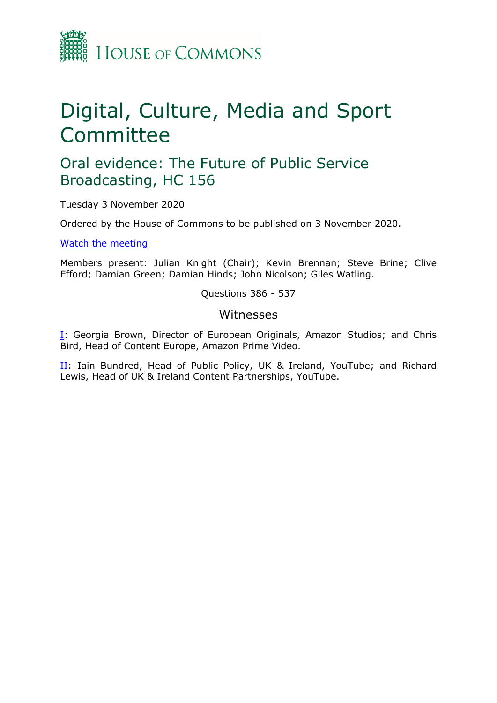

# Digital, Culture, Media and Sport Committee

# Oral evidence: The Future of Public Service Broadcasting, HC 156

Tuesday 3 November 2020

Ordered by the House of Commons to be published on 3 November 2020.

[Watch](https://www.parliamentlive.tv/Event/Index/9a551ca9-537a-451d-9005-24eaba98b939) [the](https://www.parliamentlive.tv/Event/Index/9a551ca9-537a-451d-9005-24eaba98b939) [meeting](https://www.parliamentlive.tv/Event/Index/9a551ca9-537a-451d-9005-24eaba98b939)

Members present: Julian Knight (Chair); Kevin Brennan; Steve Brine; Clive Efford; Damian Green; Damian Hinds; John Nicolson; Giles Watling.

Questions 386 - 537

### Witnesses

[I:](#page-1-0) Georgia Brown, Director of European Originals, Amazon Studios; and Chris Bird, Head of Content Europe, Amazon Prime Video.

[II](#page-26-0): Iain Bundred, Head of Public Policy, UK & Ireland, YouTube; and Richard Lewis, Head of UK & Ireland Content Partnerships, YouTube.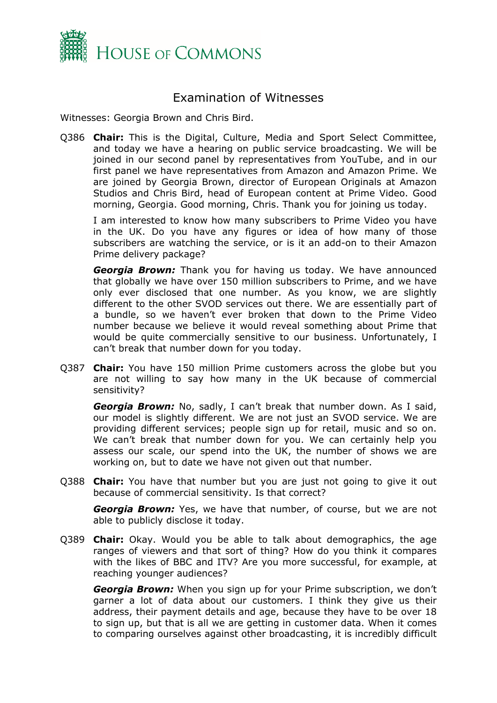

## <span id="page-1-0"></span>Examination of Witnesses

Witnesses: Georgia Brown and Chris Bird.

Q386 **Chair:** This is the Digital, Culture, Media and Sport Select Committee, and today we have a hearing on public service broadcasting. We will be joined in our second panel by representatives from YouTube, and in our first panel we have representatives from Amazon and Amazon Prime. We are joined by Georgia Brown, director of European Originals at Amazon Studios and Chris Bird, head of European content at Prime Video. Good morning, Georgia. Good morning, Chris. Thank you for joining us today.

I am interested to know how many subscribers to Prime Video you have in the UK. Do you have any figures or idea of how many of those subscribers are watching the service, or is it an add-on to their Amazon Prime delivery package?

*Georgia Brown:* Thank you for having us today. We have announced that globally we have over 150 million subscribers to Prime, and we have only ever disclosed that one number. As you know, we are slightly different to the other SVOD services out there. We are essentially part of a bundle, so we haven't ever broken that down to the Prime Video number because we believe it would reveal something about Prime that would be quite commercially sensitive to our business. Unfortunately, I can't break that number down for you today.

Q387 **Chair:** You have 150 million Prime customers across the globe but you are not willing to say how many in the UK because of commercial sensitivity?

*Georgia Brown:* No, sadly, I can't break that number down. As I said, our model is slightly different. We are not just an SVOD service. We are providing different services; people sign up for retail, music and so on. We can't break that number down for you. We can certainly help you assess our scale, our spend into the UK, the number of shows we are working on, but to date we have not given out that number.

Q388 **Chair:** You have that number but you are just not going to give it out because of commercial sensitivity. Is that correct?

*Georgia Brown:* Yes, we have that number, of course, but we are not able to publicly disclose it today.

Q389 **Chair:** Okay. Would you be able to talk about demographics, the age ranges of viewers and that sort of thing? How do you think it compares with the likes of BBC and ITV? Are you more successful, for example, at reaching younger audiences?

*Georgia Brown:* When you sign up for your Prime subscription, we don't garner a lot of data about our customers. I think they give us their address, their payment details and age, because they have to be over 18 to sign up, but that is all we are getting in customer data. When it comes to comparing ourselves against other broadcasting, it is incredibly difficult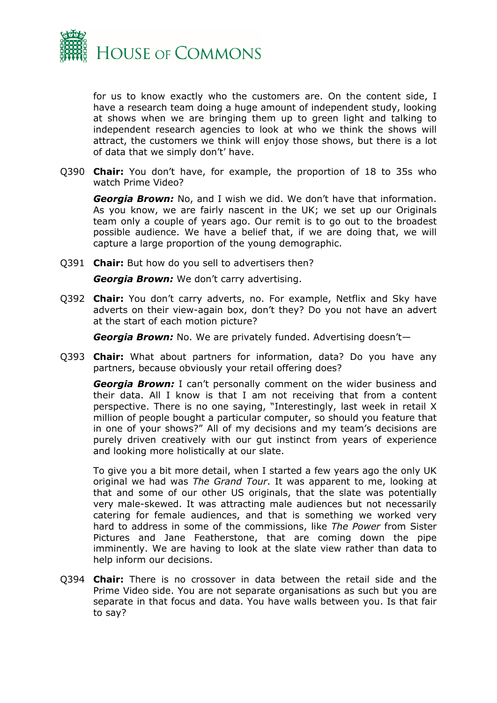

for us to know exactly who the customers are. On the content side, I have a research team doing a huge amount of independent study, looking at shows when we are bringing them up to green light and talking to independent research agencies to look at who we think the shows will attract, the customers we think will enjoy those shows, but there is a lot of data that we simply don't' have.

Q390 **Chair:** You don't have, for example, the proportion of 18 to 35s who watch Prime Video?

*Georgia Brown:* No, and I wish we did. We don't have that information. As you know, we are fairly nascent in the UK; we set up our Originals team only a couple of years ago. Our remit is to go out to the broadest possible audience. We have a belief that, if we are doing that, we will capture a large proportion of the young demographic.

Q391 **Chair:** But how do you sell to advertisers then?

*Georgia Brown:* We don't carry advertising.

Q392 **Chair:** You don't carry adverts, no. For example, Netflix and Sky have adverts on their view-again box, don't they? Do you not have an advert at the start of each motion picture?

*Georgia Brown:* No. We are privately funded. Advertising doesn't—

Q393 **Chair:** What about partners for information, data? Do you have any partners, because obviously your retail offering does?

*Georgia Brown:* I can't personally comment on the wider business and their data. All I know is that I am not receiving that from a content perspective. There is no one saying, "Interestingly, last week in retail X million of people bought a particular computer, so should you feature that in one of your shows?" All of my decisions and my team's decisions are purely driven creatively with our gut instinct from years of experience and looking more holistically at our slate.

To give you a bit more detail, when I started a few years ago the only UK original we had was *The Grand Tour*. It was apparent to me, looking at that and some of our other US originals, that the slate was potentially very male-skewed. It was attracting male audiences but not necessarily catering for female audiences, and that is something we worked very hard to address in some of the commissions, like *The Power* from Sister Pictures and Jane Featherstone, that are coming down the pipe imminently. We are having to look at the slate view rather than data to help inform our decisions.

Q394 **Chair:** There is no crossover in data between the retail side and the Prime Video side. You are not separate organisations as such but you are separate in that focus and data. You have walls between you. Is that fair to say?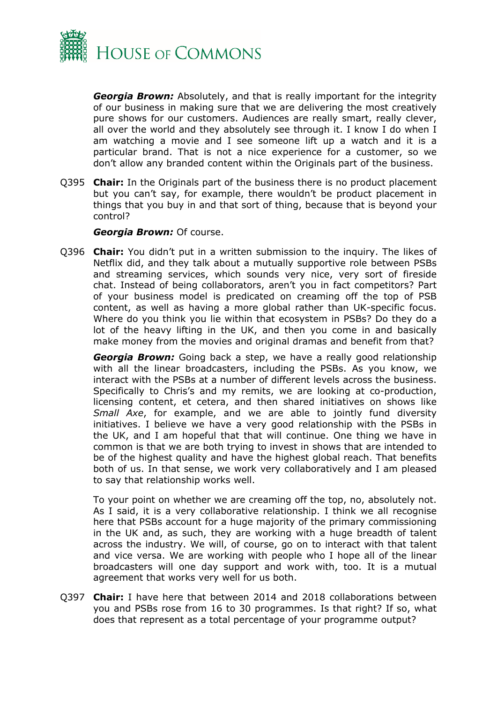

*Georgia Brown:* Absolutely, and that is really important for the integrity of our business in making sure that we are delivering the most creatively pure shows for our customers. Audiences are really smart, really clever, all over the world and they absolutely see through it. I know I do when I am watching a movie and I see someone lift up a watch and it is a particular brand. That is not a nice experience for a customer, so we don't allow any branded content within the Originals part of the business.

Q395 **Chair:** In the Originals part of the business there is no product placement but you can't say, for example, there wouldn't be product placement in things that you buy in and that sort of thing, because that is beyond your control?

#### *Georgia Brown:* Of course.

Q396 **Chair:** You didn't put in a written submission to the inquiry. The likes of Netflix did, and they talk about a mutually supportive role between PSBs and streaming services, which sounds very nice, very sort of fireside chat. Instead of being collaborators, aren't you in fact competitors? Part of your business model is predicated on creaming off the top of PSB content, as well as having a more global rather than UK-specific focus. Where do you think you lie within that ecosystem in PSBs? Do they do a lot of the heavy lifting in the UK, and then you come in and basically make money from the movies and original dramas and benefit from that?

*Georgia Brown:* Going back a step, we have a really good relationship with all the linear broadcasters, including the PSBs. As you know, we interact with the PSBs at a number of different levels across the business. Specifically to Chris's and my remits, we are looking at co-production, licensing content, et cetera, and then shared initiatives on shows like *Small Axe*, for example, and we are able to jointly fund diversity initiatives. I believe we have a very good relationship with the PSBs in the UK, and I am hopeful that that will continue. One thing we have in common is that we are both trying to invest in shows that are intended to be of the highest quality and have the highest global reach. That benefits both of us. In that sense, we work very collaboratively and I am pleased to say that relationship works well.

To your point on whether we are creaming off the top, no, absolutely not. As I said, it is a very collaborative relationship. I think we all recognise here that PSBs account for a huge majority of the primary commissioning in the UK and, as such, they are working with a huge breadth of talent across the industry. We will, of course, go on to interact with that talent and vice versa. We are working with people who I hope all of the linear broadcasters will one day support and work with, too. It is a mutual agreement that works very well for us both.

Q397 **Chair:** I have here that between 2014 and 2018 collaborations between you and PSBs rose from 16 to 30 programmes. Is that right? If so, what does that represent as a total percentage of your programme output?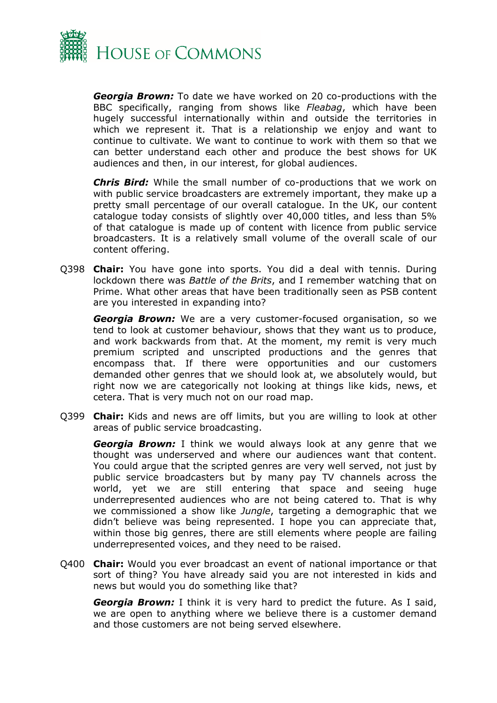

*Georgia Brown:* To date we have worked on 20 co-productions with the BBC specifically, ranging from shows like *Fleabag*, which have been hugely successful internationally within and outside the territories in which we represent it. That is a relationship we enjoy and want to continue to cultivate. We want to continue to work with them so that we can better understand each other and produce the best shows for UK audiences and then, in our interest, for global audiences.

*Chris Bird:* While the small number of co-productions that we work on with public service broadcasters are extremely important, they make up a pretty small percentage of our overall catalogue. In the UK, our content catalogue today consists of slightly over 40,000 titles, and less than 5% of that catalogue is made up of content with licence from public service broadcasters. It is a relatively small volume of the overall scale of our content offering.

Q398 **Chair:** You have gone into sports. You did a deal with tennis. During lockdown there was *Battle of the Brits*, and I remember watching that on Prime. What other areas that have been traditionally seen as PSB content are you interested in expanding into?

*Georgia Brown:* We are a very customer-focused organisation, so we tend to look at customer behaviour, shows that they want us to produce, and work backwards from that. At the moment, my remit is very much premium scripted and unscripted productions and the genres that encompass that. If there were opportunities and our customers demanded other genres that we should look at, we absolutely would, but right now we are categorically not looking at things like kids, news, et cetera. That is very much not on our road map.

Q399 **Chair:** Kids and news are off limits, but you are willing to look at other areas of public service broadcasting.

*Georgia Brown:* I think we would always look at any genre that we thought was underserved and where our audiences want that content. You could argue that the scripted genres are very well served, not just by public service broadcasters but by many pay TV channels across the world, yet we are still entering that space and seeing huge underrepresented audiences who are not being catered to. That is why we commissioned a show like *Jungle*, targeting a demographic that we didn't believe was being represented. I hope you can appreciate that, within those big genres, there are still elements where people are failing underrepresented voices, and they need to be raised.

Q400 **Chair:** Would you ever broadcast an event of national importance or that sort of thing? You have already said you are not interested in kids and news but would you do something like that?

*Georgia Brown:* I think it is very hard to predict the future. As I said, we are open to anything where we believe there is a customer demand and those customers are not being served elsewhere.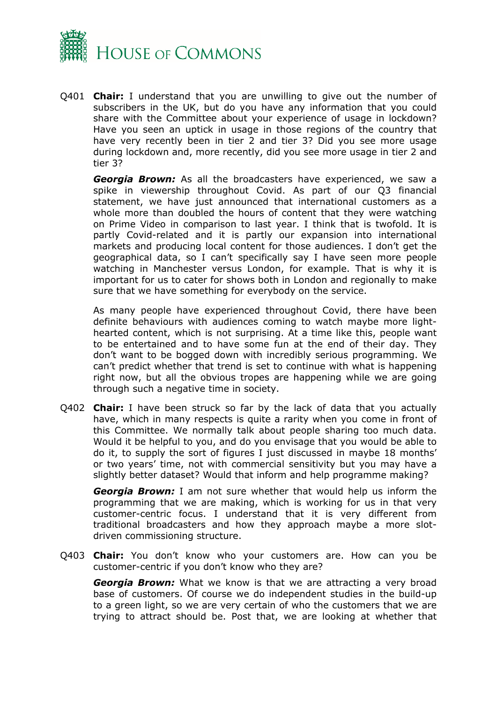

Q401 **Chair:** I understand that you are unwilling to give out the number of subscribers in the UK, but do you have any information that you could share with the Committee about your experience of usage in lockdown? Have you seen an uptick in usage in those regions of the country that have very recently been in tier 2 and tier 3? Did you see more usage during lockdown and, more recently, did you see more usage in tier 2 and tier 3?

*Georgia Brown:* As all the broadcasters have experienced, we saw a spike in viewership throughout Covid. As part of our Q3 financial statement, we have just announced that international customers as a whole more than doubled the hours of content that they were watching on Prime Video in comparison to last year. I think that is twofold. It is partly Covid-related and it is partly our expansion into international markets and producing local content for those audiences. I don't get the geographical data, so I can't specifically say I have seen more people watching in Manchester versus London, for example. That is why it is important for us to cater for shows both in London and regionally to make sure that we have something for everybody on the service.

As many people have experienced throughout Covid, there have been definite behaviours with audiences coming to watch maybe more lighthearted content, which is not surprising. At a time like this, people want to be entertained and to have some fun at the end of their day. They don't want to be bogged down with incredibly serious programming. We can't predict whether that trend is set to continue with what is happening right now, but all the obvious tropes are happening while we are going through such a negative time in society.

Q402 **Chair:** I have been struck so far by the lack of data that you actually have, which in many respects is quite a rarity when you come in front of this Committee. We normally talk about people sharing too much data. Would it be helpful to you, and do you envisage that you would be able to do it, to supply the sort of figures I just discussed in maybe 18 months' or two years' time, not with commercial sensitivity but you may have a slightly better dataset? Would that inform and help programme making?

*Georgia Brown:* I am not sure whether that would help us inform the programming that we are making, which is working for us in that very customer-centric focus. I understand that it is very different from traditional broadcasters and how they approach maybe a more slotdriven commissioning structure.

Q403 **Chair:** You don't know who your customers are. How can you be customer-centric if you don't know who they are?

*Georgia Brown:* What we know is that we are attracting a very broad base of customers. Of course we do independent studies in the build-up to a green light, so we are very certain of who the customers that we are trying to attract should be. Post that, we are looking at whether that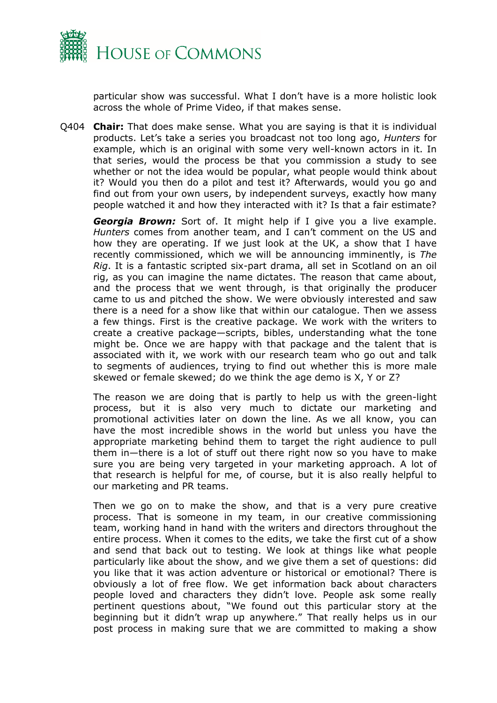

particular show was successful. What I don't have is a more holistic look across the whole of Prime Video, if that makes sense.

Q404 **Chair:** That does make sense. What you are saying is that it is individual products. Let's take a series you broadcast not too long ago, *Hunters* for example, which is an original with some very well-known actors in it. In that series, would the process be that you commission a study to see whether or not the idea would be popular, what people would think about it? Would you then do a pilot and test it? Afterwards, would you go and find out from your own users, by independent surveys, exactly how many people watched it and how they interacted with it? Is that a fair estimate?

*Georgia Brown:* Sort of. It might help if I give you a live example. *Hunters* comes from another team, and I can't comment on the US and how they are operating. If we just look at the UK, a show that I have recently commissioned, which we will be announcing imminently, is *The Rig*. It is a fantastic scripted six-part drama, all set in Scotland on an oil rig, as you can imagine the name dictates. The reason that came about, and the process that we went through, is that originally the producer came to us and pitched the show. We were obviously interested and saw there is a need for a show like that within our catalogue. Then we assess a few things. First is the creative package. We work with the writers to create a creative package—scripts, bibles, understanding what the tone might be. Once we are happy with that package and the talent that is associated with it, we work with our research team who go out and talk to segments of audiences, trying to find out whether this is more male skewed or female skewed; do we think the age demo is X, Y or Z?

The reason we are doing that is partly to help us with the green-light process, but it is also very much to dictate our marketing and promotional activities later on down the line. As we all know, you can have the most incredible shows in the world but unless you have the appropriate marketing behind them to target the right audience to pull them in—there is a lot of stuff out there right now so you have to make sure you are being very targeted in your marketing approach. A lot of that research is helpful for me, of course, but it is also really helpful to our marketing and PR teams.

Then we go on to make the show, and that is a very pure creative process. That is someone in my team, in our creative commissioning team, working hand in hand with the writers and directors throughout the entire process. When it comes to the edits, we take the first cut of a show and send that back out to testing. We look at things like what people particularly like about the show, and we give them a set of questions: did you like that it was action adventure or historical or emotional? There is obviously a lot of free flow. We get information back about characters people loved and characters they didn't love. People ask some really pertinent questions about, "We found out this particular story at the beginning but it didn't wrap up anywhere." That really helps us in our post process in making sure that we are committed to making a show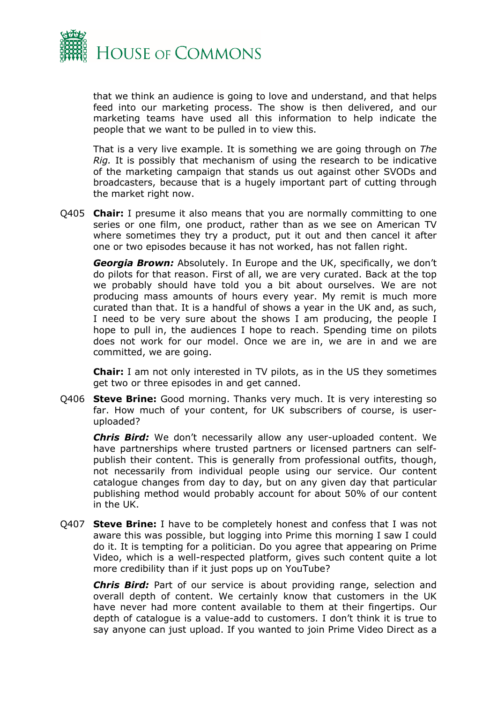

that we think an audience is going to love and understand, and that helps feed into our marketing process. The show is then delivered, and our marketing teams have used all this information to help indicate the people that we want to be pulled in to view this.

That is a very live example. It is something we are going through on *The Rig.* It is possibly that mechanism of using the research to be indicative of the marketing campaign that stands us out against other SVODs and broadcasters, because that is a hugely important part of cutting through the market right now.

Q405 **Chair:** I presume it also means that you are normally committing to one series or one film, one product, rather than as we see on American TV where sometimes they try a product, put it out and then cancel it after one or two episodes because it has not worked, has not fallen right.

*Georgia Brown:* Absolutely. In Europe and the UK, specifically, we don't do pilots for that reason. First of all, we are very curated. Back at the top we probably should have told you a bit about ourselves. We are not producing mass amounts of hours every year. My remit is much more curated than that. It is a handful of shows a year in the UK and, as such, I need to be very sure about the shows I am producing, the people I hope to pull in, the audiences I hope to reach. Spending time on pilots does not work for our model. Once we are in, we are in and we are committed, we are going.

**Chair:** I am not only interested in TV pilots, as in the US they sometimes get two or three episodes in and get canned.

Q406 **Steve Brine:** Good morning. Thanks very much. It is very interesting so far. How much of your content, for UK subscribers of course, is useruploaded?

*Chris Bird:* We don't necessarily allow any user-uploaded content. We have partnerships where trusted partners or licensed partners can selfpublish their content. This is generally from professional outfits, though, not necessarily from individual people using our service. Our content catalogue changes from day to day, but on any given day that particular publishing method would probably account for about 50% of our content in the UK.

Q407 **Steve Brine:** I have to be completely honest and confess that I was not aware this was possible, but logging into Prime this morning I saw I could do it. It is tempting for a politician. Do you agree that appearing on Prime Video, which is a well-respected platform, gives such content quite a lot more credibility than if it just pops up on YouTube?

*Chris Bird:* Part of our service is about providing range, selection and overall depth of content. We certainly know that customers in the UK have never had more content available to them at their fingertips. Our depth of catalogue is a value-add to customers. I don't think it is true to say anyone can just upload. If you wanted to join Prime Video Direct as a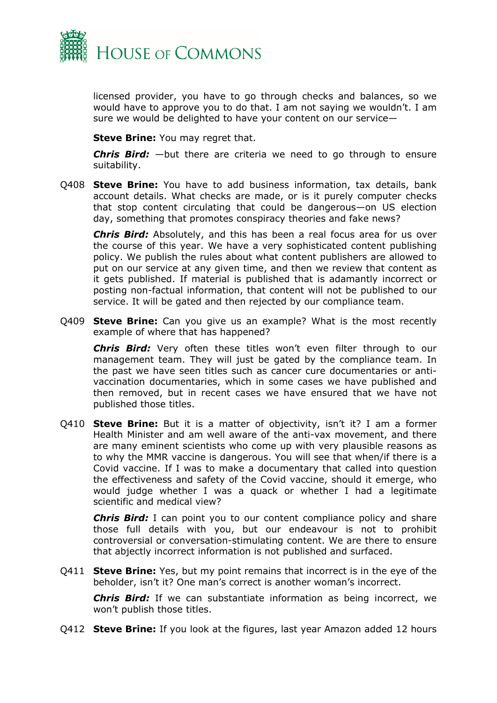

licensed provider, you have to go through checks and balances, so we would have to approve you to do that. I am not saying we wouldn't. I am sure we would be delighted to have your content on our service—

**Steve Brine:** You may regret that.

*Chris Bird:* —but there are criteria we need to go through to ensure suitability.

Q408 **Steve Brine:** You have to add business information, tax details, bank account details. What checks are made, or is it purely computer checks that stop content circulating that could be dangerous—on US election day, something that promotes conspiracy theories and fake news?

*Chris Bird:* Absolutely, and this has been a real focus area for us over the course of this year. We have a very sophisticated content publishing policy. We publish the rules about what content publishers are allowed to put on our service at any given time, and then we review that content as it gets published. If material is published that is adamantly incorrect or posting non-factual information, that content will not be published to our service. It will be gated and then rejected by our compliance team.

Q409 **Steve Brine:** Can you give us an example? What is the most recently example of where that has happened?

*Chris Bird:* Very often these titles won't even filter through to our management team. They will just be gated by the compliance team. In the past we have seen titles such as cancer cure documentaries or antivaccination documentaries, which in some cases we have published and then removed, but in recent cases we have ensured that we have not published those titles.

Q410 **Steve Brine:** But it is a matter of objectivity, isn't it? I am a former Health Minister and am well aware of the anti-vax movement, and there are many eminent scientists who come up with very plausible reasons as to why the MMR vaccine is dangerous. You will see that when/if there is a Covid vaccine. If I was to make a documentary that called into question the effectiveness and safety of the Covid vaccine, should it emerge, who would judge whether I was a quack or whether I had a legitimate scientific and medical view?

**Chris Bird:** I can point you to our content compliance policy and share those full details with you, but our endeavour is not to prohibit controversial or conversation-stimulating content. We are there to ensure that abjectly incorrect information is not published and surfaced.

Q411 **Steve Brine:** Yes, but my point remains that incorrect is in the eye of the beholder, isn't it? One man's correct is another woman's incorrect.

*Chris Bird:* If we can substantiate information as being incorrect, we won't publish those titles.

Q412 **Steve Brine:** If you look at the figures, last year Amazon added 12 hours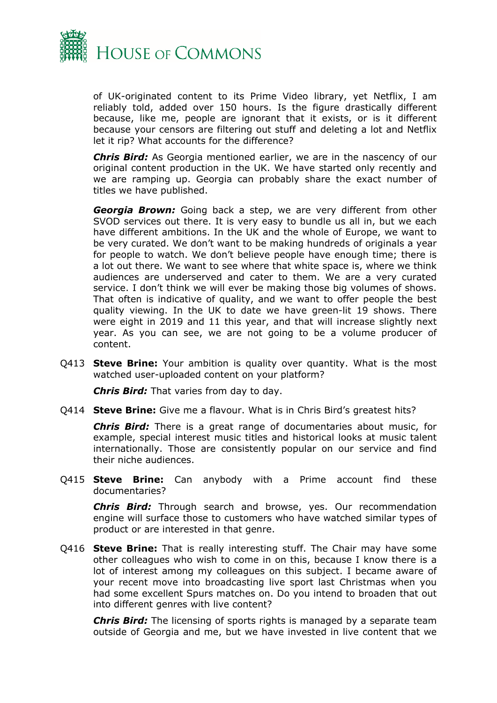

of UK-originated content to its Prime Video library, yet Netflix, I am reliably told, added over 150 hours. Is the figure drastically different because, like me, people are ignorant that it exists, or is it different because your censors are filtering out stuff and deleting a lot and Netflix let it rip? What accounts for the difference?

*Chris Bird:* As Georgia mentioned earlier, we are in the nascency of our original content production in the UK. We have started only recently and we are ramping up. Georgia can probably share the exact number of titles we have published.

*Georgia Brown:* Going back a step, we are very different from other SVOD services out there. It is very easy to bundle us all in, but we each have different ambitions. In the UK and the whole of Europe, we want to be very curated. We don't want to be making hundreds of originals a year for people to watch. We don't believe people have enough time; there is a lot out there. We want to see where that white space is, where we think audiences are underserved and cater to them. We are a very curated service. I don't think we will ever be making those big volumes of shows. That often is indicative of quality, and we want to offer people the best quality viewing. In the UK to date we have green-lit 19 shows. There were eight in 2019 and 11 this year, and that will increase slightly next year. As you can see, we are not going to be a volume producer of content.

Q413 **Steve Brine:** Your ambition is quality over quantity. What is the most watched user-uploaded content on your platform?

*Chris Bird:* That varies from day to day.

Q414 **Steve Brine:** Give me a flavour. What is in Chris Bird's greatest hits?

*Chris Bird:* There is a great range of documentaries about music, for example, special interest music titles and historical looks at music talent internationally. Those are consistently popular on our service and find their niche audiences.

Q415 **Steve Brine:** Can anybody with a Prime account find these documentaries?

*Chris Bird:* Through search and browse, yes. Our recommendation engine will surface those to customers who have watched similar types of product or are interested in that genre.

Q416 **Steve Brine:** That is really interesting stuff. The Chair may have some other colleagues who wish to come in on this, because I know there is a lot of interest among my colleagues on this subject. I became aware of your recent move into broadcasting live sport last Christmas when you had some excellent Spurs matches on. Do you intend to broaden that out into different genres with live content?

*Chris Bird:* The licensing of sports rights is managed by a separate team outside of Georgia and me, but we have invested in live content that we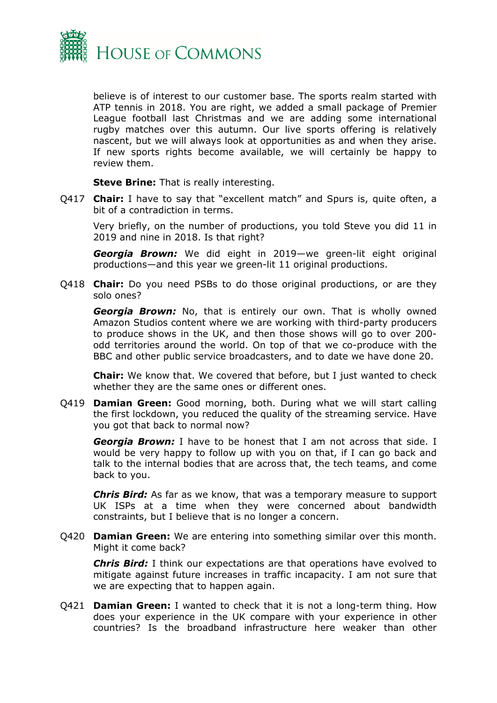

believe is of interest to our customer base. The sports realm started with ATP tennis in 2018. You are right, we added a small package of Premier League football last Christmas and we are adding some international rugby matches over this autumn. Our live sports offering is relatively nascent, but we will always look at opportunities as and when they arise. If new sports rights become available, we will certainly be happy to review them.

**Steve Brine:** That is really interesting.

Q417 **Chair:** I have to say that "excellent match" and Spurs is, quite often, a bit of a contradiction in terms.

Very briefly, on the number of productions, you told Steve you did 11 in 2019 and nine in 2018. Is that right?

*Georgia Brown:* We did eight in 2019—we green-lit eight original productions—and this year we green-lit 11 original productions.

Q418 **Chair:** Do you need PSBs to do those original productions, or are they solo ones?

*Georgia Brown:* No, that is entirely our own. That is wholly owned Amazon Studios content where we are working with third-party producers to produce shows in the UK, and then those shows will go to over 200 odd territories around the world. On top of that we co-produce with the BBC and other public service broadcasters, and to date we have done 20.

**Chair:** We know that. We covered that before, but I just wanted to check whether they are the same ones or different ones.

Q419 **Damian Green:** Good morning, both. During what we will start calling the first lockdown, you reduced the quality of the streaming service. Have you got that back to normal now?

*Georgia Brown:* I have to be honest that I am not across that side. I would be very happy to follow up with you on that, if I can go back and talk to the internal bodies that are across that, the tech teams, and come back to you.

*Chris Bird:* As far as we know, that was a temporary measure to support UK ISPs at a time when they were concerned about bandwidth constraints, but I believe that is no longer a concern.

Q420 **Damian Green:** We are entering into something similar over this month. Might it come back?

*Chris Bird:* I think our expectations are that operations have evolved to mitigate against future increases in traffic incapacity. I am not sure that we are expecting that to happen again.

Q421 **Damian Green:** I wanted to check that it is not a long-term thing. How does your experience in the UK compare with your experience in other countries? Is the broadband infrastructure here weaker than other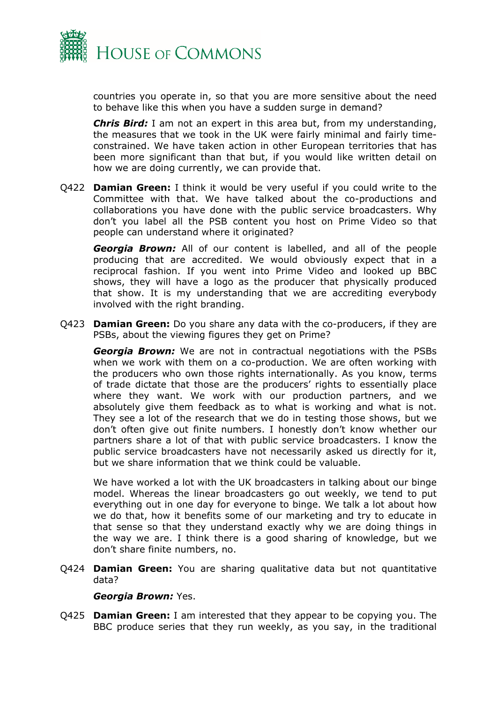

countries you operate in, so that you are more sensitive about the need to behave like this when you have a sudden surge in demand?

*Chris Bird:* I am not an expert in this area but, from my understanding, the measures that we took in the UK were fairly minimal and fairly timeconstrained. We have taken action in other European territories that has been more significant than that but, if you would like written detail on how we are doing currently, we can provide that.

Q422 **Damian Green:** I think it would be very useful if you could write to the Committee with that. We have talked about the co-productions and collaborations you have done with the public service broadcasters. Why don't you label all the PSB content you host on Prime Video so that people can understand where it originated?

*Georgia Brown:* All of our content is labelled, and all of the people producing that are accredited. We would obviously expect that in a reciprocal fashion. If you went into Prime Video and looked up BBC shows, they will have a logo as the producer that physically produced that show. It is my understanding that we are accrediting everybody involved with the right branding.

Q423 **Damian Green:** Do you share any data with the co-producers, if they are PSBs, about the viewing figures they get on Prime?

*Georgia Brown:* We are not in contractual negotiations with the PSBs when we work with them on a co-production. We are often working with the producers who own those rights internationally. As you know, terms of trade dictate that those are the producers' rights to essentially place where they want. We work with our production partners, and we absolutely give them feedback as to what is working and what is not. They see a lot of the research that we do in testing those shows, but we don't often give out finite numbers. I honestly don't know whether our partners share a lot of that with public service broadcasters. I know the public service broadcasters have not necessarily asked us directly for it, but we share information that we think could be valuable.

We have worked a lot with the UK broadcasters in talking about our binge model. Whereas the linear broadcasters go out weekly, we tend to put everything out in one day for everyone to binge. We talk a lot about how we do that, how it benefits some of our marketing and try to educate in that sense so that they understand exactly why we are doing things in the way we are. I think there is a good sharing of knowledge, but we don't share finite numbers, no.

Q424 **Damian Green:** You are sharing qualitative data but not quantitative data?

*Georgia Brown:* Yes.

Q425 **Damian Green:** I am interested that they appear to be copying you. The BBC produce series that they run weekly, as you say, in the traditional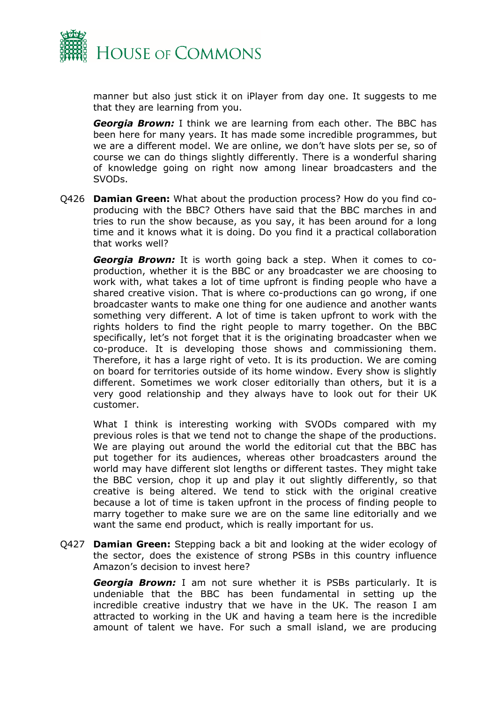

manner but also just stick it on iPlayer from day one. It suggests to me that they are learning from you.

*Georgia Brown:* I think we are learning from each other. The BBC has been here for many years. It has made some incredible programmes, but we are a different model. We are online, we don't have slots per se, so of course we can do things slightly differently. There is a wonderful sharing of knowledge going on right now among linear broadcasters and the SVODs.

Q426 **Damian Green:** What about the production process? How do you find coproducing with the BBC? Others have said that the BBC marches in and tries to run the show because, as you say, it has been around for a long time and it knows what it is doing. Do you find it a practical collaboration that works well?

*Georgia Brown:* It is worth going back a step. When it comes to coproduction, whether it is the BBC or any broadcaster we are choosing to work with, what takes a lot of time upfront is finding people who have a shared creative vision. That is where co-productions can go wrong, if one broadcaster wants to make one thing for one audience and another wants something very different. A lot of time is taken upfront to work with the rights holders to find the right people to marry together. On the BBC specifically, let's not forget that it is the originating broadcaster when we co-produce. It is developing those shows and commissioning them. Therefore, it has a large right of veto. It is its production. We are coming on board for territories outside of its home window. Every show is slightly different. Sometimes we work closer editorially than others, but it is a very good relationship and they always have to look out for their UK customer.

What I think is interesting working with SVODs compared with my previous roles is that we tend not to change the shape of the productions. We are playing out around the world the editorial cut that the BBC has put together for its audiences, whereas other broadcasters around the world may have different slot lengths or different tastes. They might take the BBC version, chop it up and play it out slightly differently, so that creative is being altered. We tend to stick with the original creative because a lot of time is taken upfront in the process of finding people to marry together to make sure we are on the same line editorially and we want the same end product, which is really important for us.

Q427 **Damian Green:** Stepping back a bit and looking at the wider ecology of the sector, does the existence of strong PSBs in this country influence Amazon's decision to invest here?

*Georgia Brown:* I am not sure whether it is PSBs particularly. It is undeniable that the BBC has been fundamental in setting up the incredible creative industry that we have in the UK. The reason I am attracted to working in the UK and having a team here is the incredible amount of talent we have. For such a small island, we are producing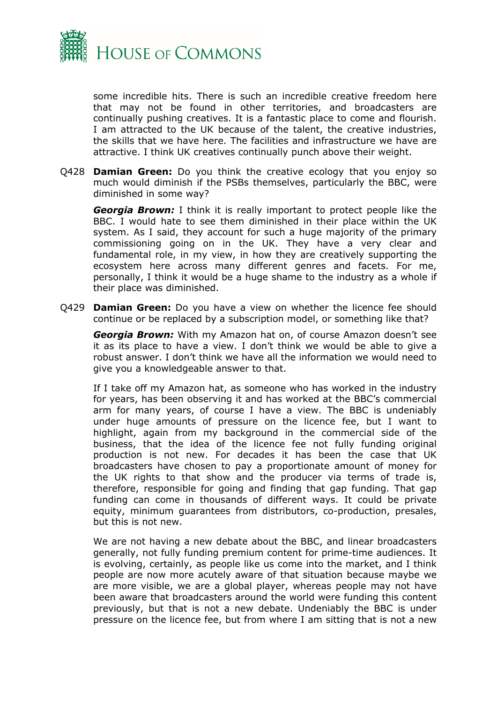

some incredible hits. There is such an incredible creative freedom here that may not be found in other territories, and broadcasters are continually pushing creatives. It is a fantastic place to come and flourish. I am attracted to the UK because of the talent, the creative industries, the skills that we have here. The facilities and infrastructure we have are attractive. I think UK creatives continually punch above their weight.

Q428 **Damian Green:** Do you think the creative ecology that you enjoy so much would diminish if the PSBs themselves, particularly the BBC, were diminished in some way?

*Georgia Brown:* I think it is really important to protect people like the BBC. I would hate to see them diminished in their place within the UK system. As I said, they account for such a huge majority of the primary commissioning going on in the UK. They have a very clear and fundamental role, in my view, in how they are creatively supporting the ecosystem here across many different genres and facets. For me, personally, I think it would be a huge shame to the industry as a whole if their place was diminished.

Q429 **Damian Green:** Do you have a view on whether the licence fee should continue or be replaced by a subscription model, or something like that?

*Georgia Brown:* With my Amazon hat on, of course Amazon doesn't see it as its place to have a view. I don't think we would be able to give a robust answer. I don't think we have all the information we would need to give you a knowledgeable answer to that.

If I take off my Amazon hat, as someone who has worked in the industry for years, has been observing it and has worked at the BBC's commercial arm for many years, of course I have a view. The BBC is undeniably under huge amounts of pressure on the licence fee, but I want to highlight, again from my background in the commercial side of the business, that the idea of the licence fee not fully funding original production is not new. For decades it has been the case that UK broadcasters have chosen to pay a proportionate amount of money for the UK rights to that show and the producer via terms of trade is, therefore, responsible for going and finding that gap funding. That gap funding can come in thousands of different ways. It could be private equity, minimum guarantees from distributors, co-production, presales, but this is not new.

We are not having a new debate about the BBC, and linear broadcasters generally, not fully funding premium content for prime-time audiences. It is evolving, certainly, as people like us come into the market, and I think people are now more acutely aware of that situation because maybe we are more visible, we are a global player, whereas people may not have been aware that broadcasters around the world were funding this content previously, but that is not a new debate. Undeniably the BBC is under pressure on the licence fee, but from where I am sitting that is not a new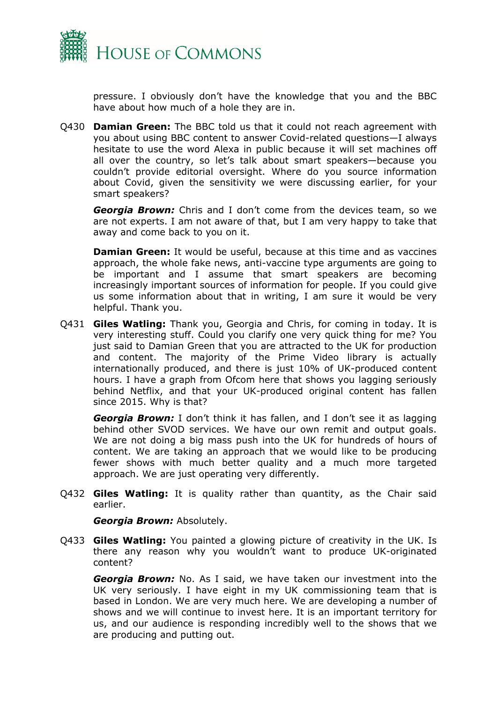

pressure. I obviously don't have the knowledge that you and the BBC have about how much of a hole they are in.

Q430 **Damian Green:** The BBC told us that it could not reach agreement with you about using BBC content to answer Covid-related questions—I always hesitate to use the word Alexa in public because it will set machines off all over the country, so let's talk about smart speakers—because you couldn't provide editorial oversight. Where do you source information about Covid, given the sensitivity we were discussing earlier, for your smart speakers?

*Georgia Brown:* Chris and I don't come from the devices team, so we are not experts. I am not aware of that, but I am very happy to take that away and come back to you on it.

**Damian Green:** It would be useful, because at this time and as vaccines approach, the whole fake news, anti-vaccine type arguments are going to be important and I assume that smart speakers are becoming increasingly important sources of information for people. If you could give us some information about that in writing, I am sure it would be very helpful. Thank you.

Q431 **Giles Watling:** Thank you, Georgia and Chris, for coming in today. It is very interesting stuff. Could you clarify one very quick thing for me? You just said to Damian Green that you are attracted to the UK for production and content. The majority of the Prime Video library is actually internationally produced, and there is just 10% of UK-produced content hours. I have a graph from Ofcom here that shows you lagging seriously behind Netflix, and that your UK-produced original content has fallen since 2015. Why is that?

*Georgia Brown:* I don't think it has fallen, and I don't see it as lagging behind other SVOD services. We have our own remit and output goals. We are not doing a big mass push into the UK for hundreds of hours of content. We are taking an approach that we would like to be producing fewer shows with much better quality and a much more targeted approach. We are just operating very differently.

Q432 **Giles Watling:** It is quality rather than quantity, as the Chair said earlier.

*Georgia Brown:* Absolutely.

Q433 **Giles Watling:** You painted a glowing picture of creativity in the UK. Is there any reason why you wouldn't want to produce UK-originated content?

*Georgia Brown:* No. As I said, we have taken our investment into the UK very seriously. I have eight in my UK commissioning team that is based in London. We are very much here. We are developing a number of shows and we will continue to invest here. It is an important territory for us, and our audience is responding incredibly well to the shows that we are producing and putting out.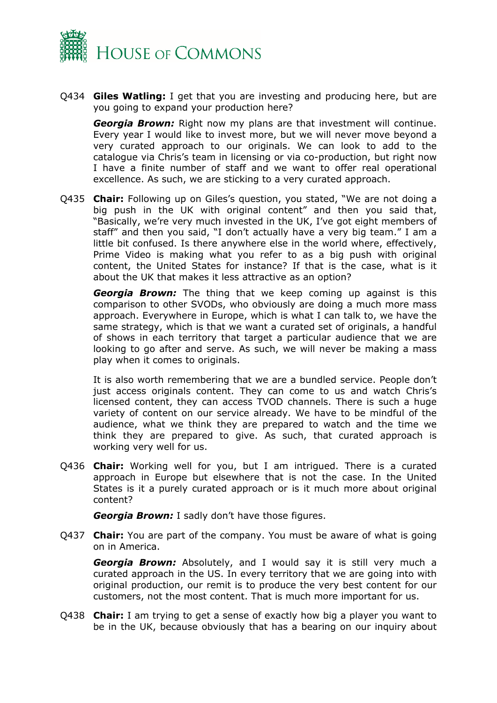

Q434 **Giles Watling:** I get that you are investing and producing here, but are you going to expand your production here?

*Georgia Brown:* Right now my plans are that investment will continue. Every year I would like to invest more, but we will never move beyond a very curated approach to our originals. We can look to add to the catalogue via Chris's team in licensing or via co-production, but right now I have a finite number of staff and we want to offer real operational excellence. As such, we are sticking to a very curated approach.

Q435 **Chair:** Following up on Giles's question, you stated, "We are not doing a big push in the UK with original content" and then you said that, "Basically, we're very much invested in the UK, I've got eight members of staff" and then you said, "I don't actually have a very big team." I am a little bit confused. Is there anywhere else in the world where, effectively, Prime Video is making what you refer to as a big push with original content, the United States for instance? If that is the case, what is it about the UK that makes it less attractive as an option?

*Georgia Brown:* The thing that we keep coming up against is this comparison to other SVODs, who obviously are doing a much more mass approach. Everywhere in Europe, which is what I can talk to, we have the same strategy, which is that we want a curated set of originals, a handful of shows in each territory that target a particular audience that we are looking to go after and serve. As such, we will never be making a mass play when it comes to originals.

It is also worth remembering that we are a bundled service. People don't just access originals content. They can come to us and watch Chris's licensed content, they can access TVOD channels. There is such a huge variety of content on our service already. We have to be mindful of the audience, what we think they are prepared to watch and the time we think they are prepared to give. As such, that curated approach is working very well for us.

Q436 **Chair:** Working well for you, but I am intrigued. There is a curated approach in Europe but elsewhere that is not the case. In the United States is it a purely curated approach or is it much more about original content?

*Georgia Brown:* I sadly don't have those figures.

Q437 **Chair:** You are part of the company. You must be aware of what is going on in America.

*Georgia Brown:* Absolutely, and I would say it is still very much a curated approach in the US. In every territory that we are going into with original production, our remit is to produce the very best content for our customers, not the most content. That is much more important for us.

Q438 **Chair:** I am trying to get a sense of exactly how big a player you want to be in the UK, because obviously that has a bearing on our inquiry about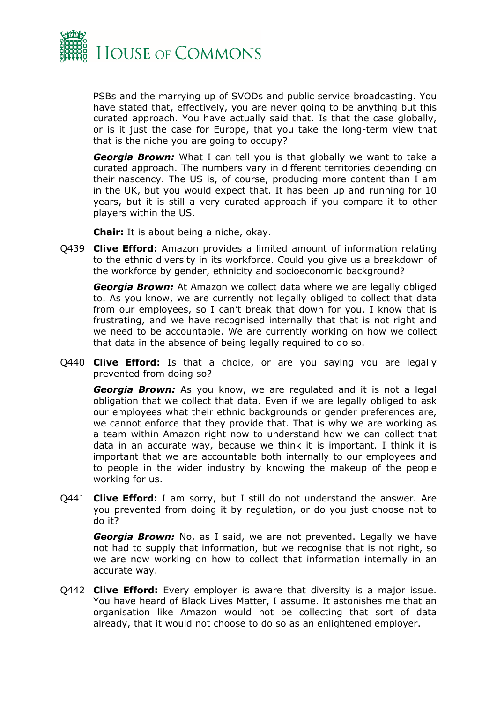

PSBs and the marrying up of SVODs and public service broadcasting. You have stated that, effectively, you are never going to be anything but this curated approach. You have actually said that. Is that the case globally, or is it just the case for Europe, that you take the long-term view that that is the niche you are going to occupy?

*Georgia Brown:* What I can tell you is that globally we want to take a curated approach. The numbers vary in different territories depending on their nascency. The US is, of course, producing more content than I am in the UK, but you would expect that. It has been up and running for 10 years, but it is still a very curated approach if you compare it to other players within the US.

**Chair:** It is about being a niche, okay.

Q439 **Clive Efford:** Amazon provides a limited amount of information relating to the ethnic diversity in its workforce. Could you give us a breakdown of the workforce by gender, ethnicity and socioeconomic background?

*Georgia Brown:* At Amazon we collect data where we are legally obliged to. As you know, we are currently not legally obliged to collect that data from our employees, so I can't break that down for you. I know that is frustrating, and we have recognised internally that that is not right and we need to be accountable. We are currently working on how we collect that data in the absence of being legally required to do so.

Q440 **Clive Efford:** Is that a choice, or are you saying you are legally prevented from doing so?

*Georgia Brown:* As you know, we are regulated and it is not a legal obligation that we collect that data. Even if we are legally obliged to ask our employees what their ethnic backgrounds or gender preferences are, we cannot enforce that they provide that. That is why we are working as a team within Amazon right now to understand how we can collect that data in an accurate way, because we think it is important. I think it is important that we are accountable both internally to our employees and to people in the wider industry by knowing the makeup of the people working for us.

Q441 **Clive Efford:** I am sorry, but I still do not understand the answer. Are you prevented from doing it by regulation, or do you just choose not to do it?

*Georgia Brown:* No, as I said, we are not prevented. Legally we have not had to supply that information, but we recognise that is not right, so we are now working on how to collect that information internally in an accurate way.

Q442 **Clive Efford:** Every employer is aware that diversity is a major issue. You have heard of Black Lives Matter, I assume. It astonishes me that an organisation like Amazon would not be collecting that sort of data already, that it would not choose to do so as an enlightened employer.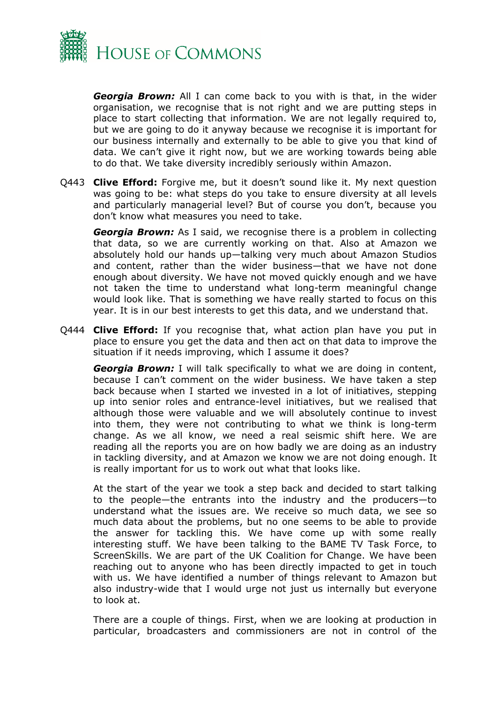

*Georgia Brown:* All I can come back to you with is that, in the wider organisation, we recognise that is not right and we are putting steps in place to start collecting that information. We are not legally required to, but we are going to do it anyway because we recognise it is important for our business internally and externally to be able to give you that kind of data. We can't give it right now, but we are working towards being able to do that. We take diversity incredibly seriously within Amazon.

Q443 **Clive Efford:** Forgive me, but it doesn't sound like it. My next question was going to be: what steps do you take to ensure diversity at all levels and particularly managerial level? But of course you don't, because you don't know what measures you need to take.

*Georgia Brown:* As I said, we recognise there is a problem in collecting that data, so we are currently working on that. Also at Amazon we absolutely hold our hands up—talking very much about Amazon Studios and content, rather than the wider business—that we have not done enough about diversity. We have not moved quickly enough and we have not taken the time to understand what long-term meaningful change would look like. That is something we have really started to focus on this year. It is in our best interests to get this data, and we understand that.

Q444 **Clive Efford:** If you recognise that, what action plan have you put in place to ensure you get the data and then act on that data to improve the situation if it needs improving, which I assume it does?

*Georgia Brown:* I will talk specifically to what we are doing in content, because I can't comment on the wider business. We have taken a step back because when I started we invested in a lot of initiatives, stepping up into senior roles and entrance-level initiatives, but we realised that although those were valuable and we will absolutely continue to invest into them, they were not contributing to what we think is long-term change. As we all know, we need a real seismic shift here. We are reading all the reports you are on how badly we are doing as an industry in tackling diversity, and at Amazon we know we are not doing enough. It is really important for us to work out what that looks like.

At the start of the year we took a step back and decided to start talking to the people—the entrants into the industry and the producers—to understand what the issues are. We receive so much data, we see so much data about the problems, but no one seems to be able to provide the answer for tackling this. We have come up with some really interesting stuff. We have been talking to the BAME TV Task Force, to ScreenSkills. We are part of the UK Coalition for Change. We have been reaching out to anyone who has been directly impacted to get in touch with us. We have identified a number of things relevant to Amazon but also industry-wide that I would urge not just us internally but everyone to look at.

There are a couple of things. First, when we are looking at production in particular, broadcasters and commissioners are not in control of the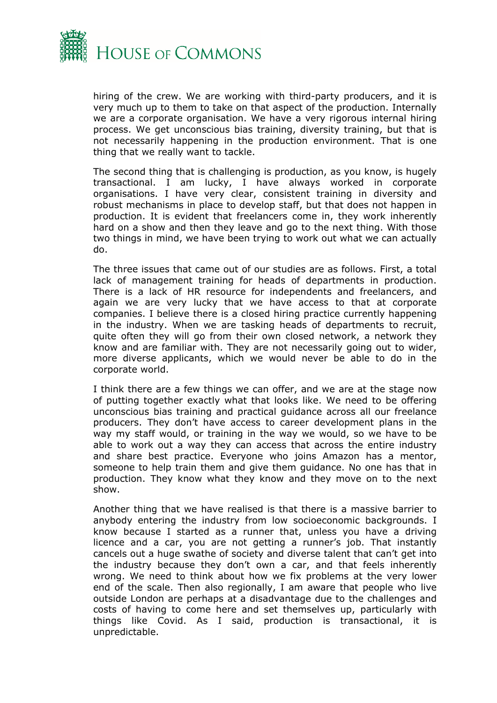

hiring of the crew. We are working with third-party producers, and it is very much up to them to take on that aspect of the production. Internally we are a corporate organisation. We have a very rigorous internal hiring process. We get unconscious bias training, diversity training, but that is not necessarily happening in the production environment. That is one thing that we really want to tackle.

The second thing that is challenging is production, as you know, is hugely transactional. I am lucky, I have always worked in corporate organisations. I have very clear, consistent training in diversity and robust mechanisms in place to develop staff, but that does not happen in production. It is evident that freelancers come in, they work inherently hard on a show and then they leave and go to the next thing. With those two things in mind, we have been trying to work out what we can actually do.

The three issues that came out of our studies are as follows. First, a total lack of management training for heads of departments in production. There is a lack of HR resource for independents and freelancers, and again we are very lucky that we have access to that at corporate companies. I believe there is a closed hiring practice currently happening in the industry. When we are tasking heads of departments to recruit, quite often they will go from their own closed network, a network they know and are familiar with. They are not necessarily going out to wider, more diverse applicants, which we would never be able to do in the corporate world.

I think there are a few things we can offer, and we are at the stage now of putting together exactly what that looks like. We need to be offering unconscious bias training and practical guidance across all our freelance producers. They don't have access to career development plans in the way my staff would, or training in the way we would, so we have to be able to work out a way they can access that across the entire industry and share best practice. Everyone who joins Amazon has a mentor, someone to help train them and give them guidance. No one has that in production. They know what they know and they move on to the next show.

Another thing that we have realised is that there is a massive barrier to anybody entering the industry from low socioeconomic backgrounds. I know because I started as a runner that, unless you have a driving licence and a car, you are not getting a runner's job. That instantly cancels out a huge swathe of society and diverse talent that can't get into the industry because they don't own a car, and that feels inherently wrong. We need to think about how we fix problems at the very lower end of the scale. Then also regionally, I am aware that people who live outside London are perhaps at a disadvantage due to the challenges and costs of having to come here and set themselves up, particularly with things like Covid. As I said, production is transactional, it is unpredictable.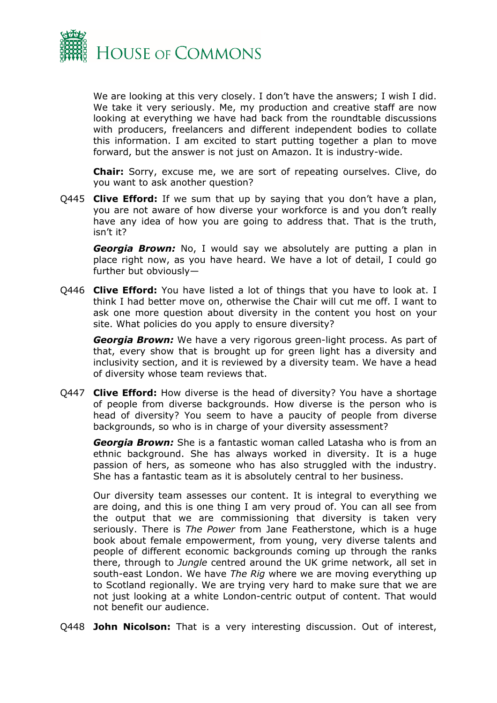

We are looking at this very closely. I don't have the answers; I wish I did. We take it very seriously. Me, my production and creative staff are now looking at everything we have had back from the roundtable discussions with producers, freelancers and different independent bodies to collate this information. I am excited to start putting together a plan to move forward, but the answer is not just on Amazon. It is industry-wide.

**Chair:** Sorry, excuse me, we are sort of repeating ourselves. Clive, do you want to ask another question?

Q445 **Clive Efford:** If we sum that up by saying that you don't have a plan, you are not aware of how diverse your workforce is and you don't really have any idea of how you are going to address that. That is the truth, isn't it?

*Georgia Brown:* No, I would say we absolutely are putting a plan in place right now, as you have heard. We have a lot of detail, I could go further but obviously—

Q446 **Clive Efford:** You have listed a lot of things that you have to look at. I think I had better move on, otherwise the Chair will cut me off. I want to ask one more question about diversity in the content you host on your site. What policies do you apply to ensure diversity?

*Georgia Brown:* We have a very rigorous green-light process. As part of that, every show that is brought up for green light has a diversity and inclusivity section, and it is reviewed by a diversity team. We have a head of diversity whose team reviews that.

Q447 **Clive Efford:** How diverse is the head of diversity? You have a shortage of people from diverse backgrounds. How diverse is the person who is head of diversity? You seem to have a paucity of people from diverse backgrounds, so who is in charge of your diversity assessment?

*Georgia Brown:* She is a fantastic woman called Latasha who is from an ethnic background. She has always worked in diversity. It is a huge passion of hers, as someone who has also struggled with the industry. She has a fantastic team as it is absolutely central to her business.

Our diversity team assesses our content. It is integral to everything we are doing, and this is one thing I am very proud of. You can all see from the output that we are commissioning that diversity is taken very seriously. There is *The Power* from Jane Featherstone, which is a huge book about female empowerment, from young, very diverse talents and people of different economic backgrounds coming up through the ranks there, through to *Jungle* centred around the UK grime network, all set in south-east London. We have *The Rig* where we are moving everything up to Scotland regionally. We are trying very hard to make sure that we are not just looking at a white London-centric output of content. That would not benefit our audience.

Q448 **John Nicolson:** That is a very interesting discussion. Out of interest,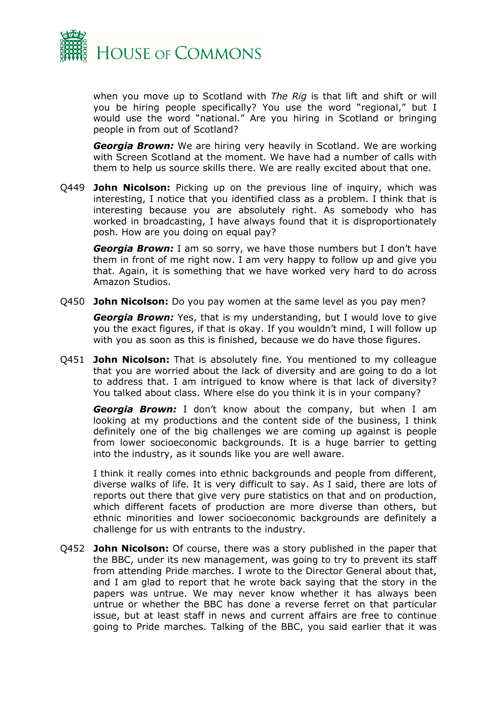

when you move up to Scotland with *The Rig* is that lift and shift or will you be hiring people specifically? You use the word "regional," but I would use the word "national." Are you hiring in Scotland or bringing people in from out of Scotland?

*Georgia Brown:* We are hiring very heavily in Scotland. We are working with Screen Scotland at the moment. We have had a number of calls with them to help us source skills there. We are really excited about that one.

Q449 **John Nicolson:** Picking up on the previous line of inquiry, which was interesting, I notice that you identified class as a problem. I think that is interesting because you are absolutely right. As somebody who has worked in broadcasting, I have always found that it is disproportionately posh. How are you doing on equal pay?

*Georgia Brown:* I am so sorry, we have those numbers but I don't have them in front of me right now. I am very happy to follow up and give you that. Again, it is something that we have worked very hard to do across Amazon Studios.

Q450 **John Nicolson:** Do you pay women at the same level as you pay men?

*Georgia Brown:* Yes, that is my understanding, but I would love to give you the exact figures, if that is okay. If you wouldn't mind, I will follow up with you as soon as this is finished, because we do have those figures.

Q451 **John Nicolson:** That is absolutely fine. You mentioned to my colleague that you are worried about the lack of diversity and are going to do a lot to address that. I am intrigued to know where is that lack of diversity? You talked about class. Where else do you think it is in your company?

*Georgia Brown:* I don't know about the company, but when I am looking at my productions and the content side of the business, I think definitely one of the big challenges we are coming up against is people from lower socioeconomic backgrounds. It is a huge barrier to getting into the industry, as it sounds like you are well aware.

I think it really comes into ethnic backgrounds and people from different, diverse walks of life. It is very difficult to say. As I said, there are lots of reports out there that give very pure statistics on that and on production, which different facets of production are more diverse than others, but ethnic minorities and lower socioeconomic backgrounds are definitely a challenge for us with entrants to the industry.

Q452 **John Nicolson:** Of course, there was a story published in the paper that the BBC, under its new management, was going to try to prevent its staff from attending Pride marches. I wrote to the Director General about that, and I am glad to report that he wrote back saying that the story in the papers was untrue. We may never know whether it has always been untrue or whether the BBC has done a reverse ferret on that particular issue, but at least staff in news and current affairs are free to continue going to Pride marches. Talking of the BBC, you said earlier that it was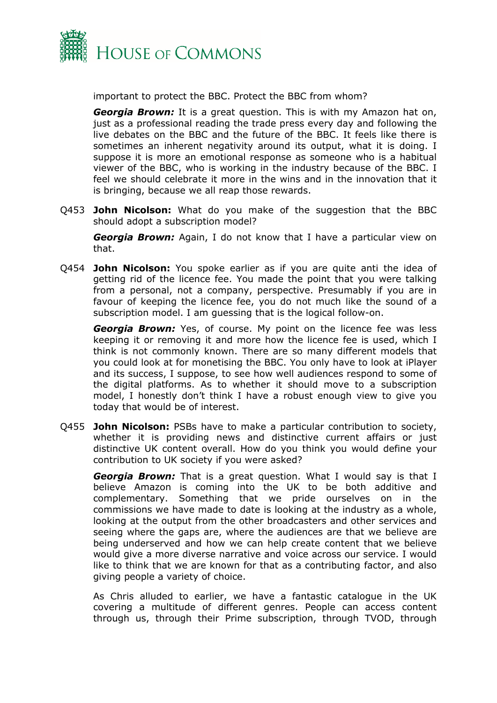

important to protect the BBC. Protect the BBC from whom?

*Georgia Brown:* It is a great question. This is with my Amazon hat on, just as a professional reading the trade press every day and following the live debates on the BBC and the future of the BBC. It feels like there is sometimes an inherent negativity around its output, what it is doing. I suppose it is more an emotional response as someone who is a habitual viewer of the BBC, who is working in the industry because of the BBC. I feel we should celebrate it more in the wins and in the innovation that it is bringing, because we all reap those rewards.

Q453 **John Nicolson:** What do you make of the suggestion that the BBC should adopt a subscription model?

*Georgia Brown:* Again, I do not know that I have a particular view on that.

Q454 **John Nicolson:** You spoke earlier as if you are quite anti the idea of getting rid of the licence fee. You made the point that you were talking from a personal, not a company, perspective. Presumably if you are in favour of keeping the licence fee, you do not much like the sound of a subscription model. I am guessing that is the logical follow-on.

*Georgia Brown:* Yes, of course. My point on the licence fee was less keeping it or removing it and more how the licence fee is used, which I think is not commonly known. There are so many different models that you could look at for monetising the BBC. You only have to look at iPlayer and its success, I suppose, to see how well audiences respond to some of the digital platforms. As to whether it should move to a subscription model, I honestly don't think I have a robust enough view to give you today that would be of interest.

Q455 **John Nicolson:** PSBs have to make a particular contribution to society, whether it is providing news and distinctive current affairs or just distinctive UK content overall. How do you think you would define your contribution to UK society if you were asked?

*Georgia Brown:* That is a great question. What I would say is that I believe Amazon is coming into the UK to be both additive and complementary. Something that we pride ourselves on in the commissions we have made to date is looking at the industry as a whole, looking at the output from the other broadcasters and other services and seeing where the gaps are, where the audiences are that we believe are being underserved and how we can help create content that we believe would give a more diverse narrative and voice across our service. I would like to think that we are known for that as a contributing factor, and also giving people a variety of choice.

As Chris alluded to earlier, we have a fantastic catalogue in the UK covering a multitude of different genres. People can access content through us, through their Prime subscription, through TVOD, through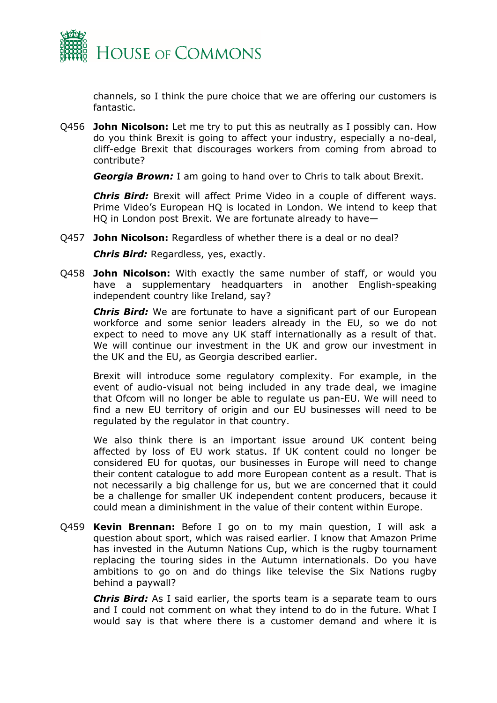

channels, so I think the pure choice that we are offering our customers is fantastic.

Q456 **John Nicolson:** Let me try to put this as neutrally as I possibly can. How do you think Brexit is going to affect your industry, especially a no-deal, cliff-edge Brexit that discourages workers from coming from abroad to contribute?

*Georgia Brown:* I am going to hand over to Chris to talk about Brexit.

*Chris Bird:* Brexit will affect Prime Video in a couple of different ways. Prime Video's European HQ is located in London. We intend to keep that HQ in London post Brexit. We are fortunate already to have—

Q457 **John Nicolson:** Regardless of whether there is a deal or no deal?

*Chris Bird:* Regardless, yes, exactly.

Q458 **John Nicolson:** With exactly the same number of staff, or would you have a supplementary headquarters in another English-speaking independent country like Ireland, say?

*Chris Bird:* We are fortunate to have a significant part of our European workforce and some senior leaders already in the EU, so we do not expect to need to move any UK staff internationally as a result of that. We will continue our investment in the UK and grow our investment in the UK and the EU, as Georgia described earlier.

Brexit will introduce some regulatory complexity. For example, in the event of audio-visual not being included in any trade deal, we imagine that Ofcom will no longer be able to regulate us pan-EU. We will need to find a new EU territory of origin and our EU businesses will need to be regulated by the regulator in that country.

We also think there is an important issue around UK content being affected by loss of EU work status. If UK content could no longer be considered EU for quotas, our businesses in Europe will need to change their content catalogue to add more European content as a result. That is not necessarily a big challenge for us, but we are concerned that it could be a challenge for smaller UK independent content producers, because it could mean a diminishment in the value of their content within Europe.

Q459 **Kevin Brennan:** Before I go on to my main question, I will ask a question about sport, which was raised earlier. I know that Amazon Prime has invested in the Autumn Nations Cup, which is the rugby tournament replacing the touring sides in the Autumn internationals. Do you have ambitions to go on and do things like televise the Six Nations rugby behind a paywall?

*Chris Bird:* As I said earlier, the sports team is a separate team to ours and I could not comment on what they intend to do in the future. What I would say is that where there is a customer demand and where it is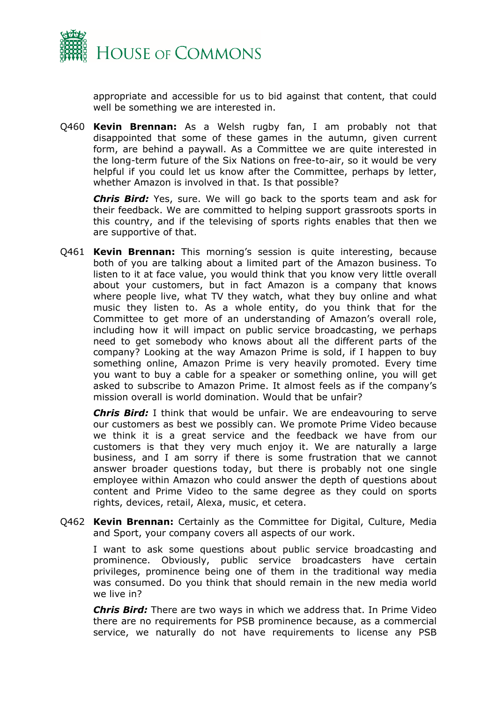

appropriate and accessible for us to bid against that content, that could well be something we are interested in.

Q460 **Kevin Brennan:** As a Welsh rugby fan, I am probably not that disappointed that some of these games in the autumn, given current form, are behind a paywall. As a Committee we are quite interested in the long-term future of the Six Nations on free-to-air, so it would be very helpful if you could let us know after the Committee, perhaps by letter, whether Amazon is involved in that. Is that possible?

*Chris Bird:* Yes, sure. We will go back to the sports team and ask for their feedback. We are committed to helping support grassroots sports in this country, and if the televising of sports rights enables that then we are supportive of that.

Q461 **Kevin Brennan:** This morning's session is quite interesting, because both of you are talking about a limited part of the Amazon business. To listen to it at face value, you would think that you know very little overall about your customers, but in fact Amazon is a company that knows where people live, what TV they watch, what they buy online and what music they listen to. As a whole entity, do you think that for the Committee to get more of an understanding of Amazon's overall role, including how it will impact on public service broadcasting, we perhaps need to get somebody who knows about all the different parts of the company? Looking at the way Amazon Prime is sold, if I happen to buy something online, Amazon Prime is very heavily promoted. Every time you want to buy a cable for a speaker or something online, you will get asked to subscribe to Amazon Prime. It almost feels as if the company's mission overall is world domination. Would that be unfair?

*Chris Bird:* I think that would be unfair. We are endeavouring to serve our customers as best we possibly can. We promote Prime Video because we think it is a great service and the feedback we have from our customers is that they very much enjoy it. We are naturally a large business, and I am sorry if there is some frustration that we cannot answer broader questions today, but there is probably not one single employee within Amazon who could answer the depth of questions about content and Prime Video to the same degree as they could on sports rights, devices, retail, Alexa, music, et cetera.

Q462 **Kevin Brennan:** Certainly as the Committee for Digital, Culture, Media and Sport, your company covers all aspects of our work.

I want to ask some questions about public service broadcasting and prominence. Obviously, public service broadcasters have certain privileges, prominence being one of them in the traditional way media was consumed. Do you think that should remain in the new media world we live in?

*Chris Bird:* There are two ways in which we address that. In Prime Video there are no requirements for PSB prominence because, as a commercial service, we naturally do not have requirements to license any PSB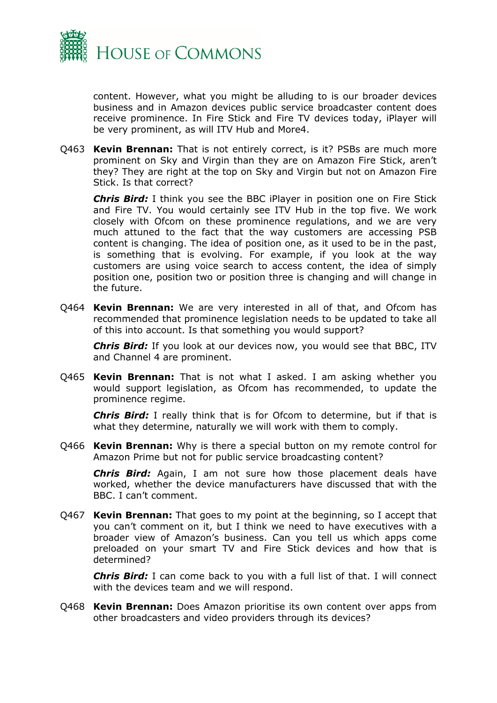

content. However, what you might be alluding to is our broader devices business and in Amazon devices public service broadcaster content does receive prominence. In Fire Stick and Fire TV devices today, iPlayer will be very prominent, as will ITV Hub and More4.

Q463 **Kevin Brennan:** That is not entirely correct, is it? PSBs are much more prominent on Sky and Virgin than they are on Amazon Fire Stick, aren't they? They are right at the top on Sky and Virgin but not on Amazon Fire Stick. Is that correct?

*Chris Bird:* I think you see the BBC iPlayer in position one on Fire Stick and Fire TV. You would certainly see ITV Hub in the top five. We work closely with Ofcom on these prominence regulations, and we are very much attuned to the fact that the way customers are accessing PSB content is changing. The idea of position one, as it used to be in the past, is something that is evolving. For example, if you look at the way customers are using voice search to access content, the idea of simply position one, position two or position three is changing and will change in the future.

Q464 **Kevin Brennan:** We are very interested in all of that, and Ofcom has recommended that prominence legislation needs to be updated to take all of this into account. Is that something you would support?

*Chris Bird:* If you look at our devices now, you would see that BBC, ITV and Channel 4 are prominent.

Q465 **Kevin Brennan:** That is not what I asked. I am asking whether you would support legislation, as Ofcom has recommended, to update the prominence regime.

*Chris Bird:* I really think that is for Ofcom to determine, but if that is what they determine, naturally we will work with them to comply.

Q466 **Kevin Brennan:** Why is there a special button on my remote control for Amazon Prime but not for public service broadcasting content?

*Chris Bird:* Again, I am not sure how those placement deals have worked, whether the device manufacturers have discussed that with the BBC. I can't comment.

Q467 **Kevin Brennan:** That goes to my point at the beginning, so I accept that you can't comment on it, but I think we need to have executives with a broader view of Amazon's business. Can you tell us which apps come preloaded on your smart TV and Fire Stick devices and how that is determined?

*Chris Bird:* I can come back to you with a full list of that. I will connect with the devices team and we will respond.

Q468 **Kevin Brennan:** Does Amazon prioritise its own content over apps from other broadcasters and video providers through its devices?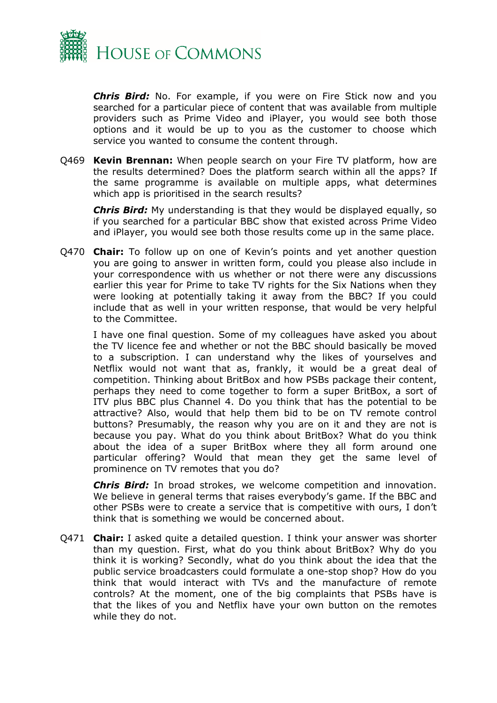

*Chris Bird:* No. For example, if you were on Fire Stick now and you searched for a particular piece of content that was available from multiple providers such as Prime Video and iPlayer, you would see both those options and it would be up to you as the customer to choose which service you wanted to consume the content through.

Q469 **Kevin Brennan:** When people search on your Fire TV platform, how are the results determined? Does the platform search within all the apps? If the same programme is available on multiple apps, what determines which app is prioritised in the search results?

*Chris Bird:* My understanding is that they would be displayed equally, so if you searched for a particular BBC show that existed across Prime Video and iPlayer, you would see both those results come up in the same place.

Q470 **Chair:** To follow up on one of Kevin's points and yet another question you are going to answer in written form, could you please also include in your correspondence with us whether or not there were any discussions earlier this year for Prime to take TV rights for the Six Nations when they were looking at potentially taking it away from the BBC? If you could include that as well in your written response, that would be very helpful to the Committee.

I have one final question. Some of my colleagues have asked you about the TV licence fee and whether or not the BBC should basically be moved to a subscription. I can understand why the likes of yourselves and Netflix would not want that as, frankly, it would be a great deal of competition. Thinking about BritBox and how PSBs package their content, perhaps they need to come together to form a super BritBox, a sort of ITV plus BBC plus Channel 4. Do you think that has the potential to be attractive? Also, would that help them bid to be on TV remote control buttons? Presumably, the reason why you are on it and they are not is because you pay. What do you think about BritBox? What do you think about the idea of a super BritBox where they all form around one particular offering? Would that mean they get the same level of prominence on TV remotes that you do?

*Chris Bird:* In broad strokes, we welcome competition and innovation. We believe in general terms that raises everybody's game. If the BBC and other PSBs were to create a service that is competitive with ours, I don't think that is something we would be concerned about.

Q471 **Chair:** I asked quite a detailed question. I think your answer was shorter than my question. First, what do you think about BritBox? Why do you think it is working? Secondly, what do you think about the idea that the public service broadcasters could formulate a one-stop shop? How do you think that would interact with TVs and the manufacture of remote controls? At the moment, one of the big complaints that PSBs have is that the likes of you and Netflix have your own button on the remotes while they do not.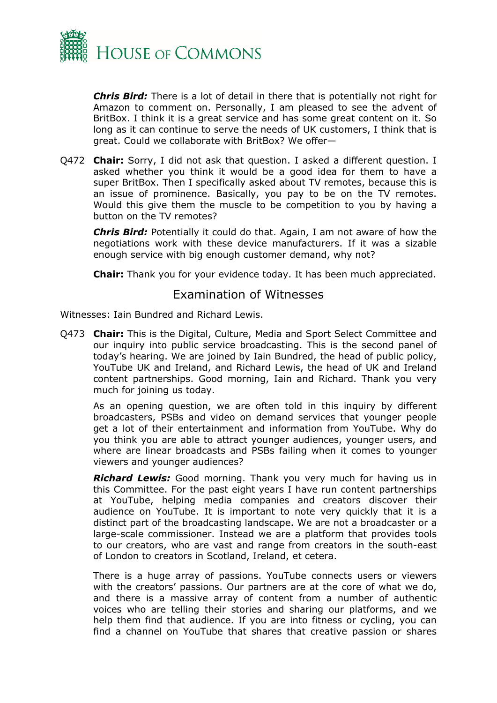

*Chris Bird:* There is a lot of detail in there that is potentially not right for Amazon to comment on. Personally, I am pleased to see the advent of BritBox. I think it is a great service and has some great content on it. So long as it can continue to serve the needs of UK customers, I think that is great. Could we collaborate with BritBox? We offer—

Q472 **Chair:** Sorry, I did not ask that question. I asked a different question. I asked whether you think it would be a good idea for them to have a super BritBox. Then I specifically asked about TV remotes, because this is an issue of prominence. Basically, you pay to be on the TV remotes. Would this give them the muscle to be competition to you by having a button on the TV remotes?

*Chris Bird:* Potentially it could do that. Again, I am not aware of how the negotiations work with these device manufacturers. If it was a sizable enough service with big enough customer demand, why not?

<span id="page-26-0"></span>**Chair:** Thank you for your evidence today. It has been much appreciated.

#### Examination of Witnesses

Witnesses: Iain Bundred and Richard Lewis.

Q473 **Chair:** This is the Digital, Culture, Media and Sport Select Committee and our inquiry into public service broadcasting. This is the second panel of today's hearing. We are joined by Iain Bundred, the head of public policy, YouTube UK and Ireland, and Richard Lewis, the head of UK and Ireland content partnerships. Good morning, Iain and Richard. Thank you very much for joining us today.

As an opening question, we are often told in this inquiry by different broadcasters, PSBs and video on demand services that younger people get a lot of their entertainment and information from YouTube. Why do you think you are able to attract younger audiences, younger users, and where are linear broadcasts and PSBs failing when it comes to younger viewers and younger audiences?

*Richard Lewis:* Good morning. Thank you very much for having us in this Committee. For the past eight years I have run content partnerships at YouTube, helping media companies and creators discover their audience on YouTube. It is important to note very quickly that it is a distinct part of the broadcasting landscape. We are not a broadcaster or a large-scale commissioner. Instead we are a platform that provides tools to our creators, who are vast and range from creators in the south-east of London to creators in Scotland, Ireland, et cetera.

There is a huge array of passions. YouTube connects users or viewers with the creators' passions. Our partners are at the core of what we do, and there is a massive array of content from a number of authentic voices who are telling their stories and sharing our platforms, and we help them find that audience. If you are into fitness or cycling, you can find a channel on YouTube that shares that creative passion or shares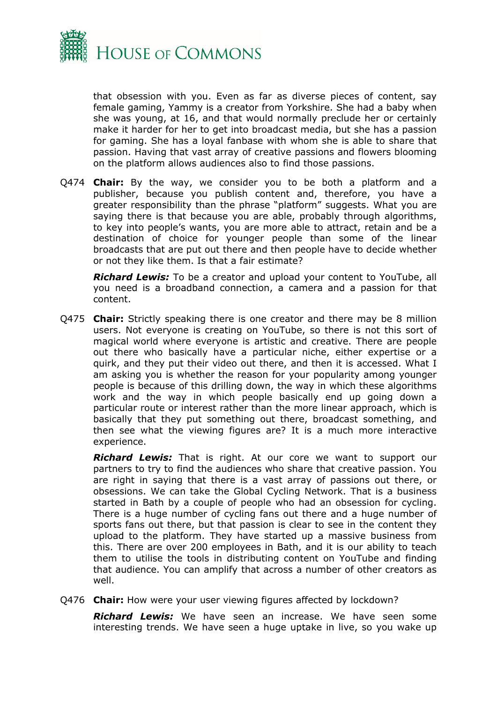

that obsession with you. Even as far as diverse pieces of content, say female gaming, Yammy is a creator from Yorkshire. She had a baby when she was young, at 16, and that would normally preclude her or certainly make it harder for her to get into broadcast media, but she has a passion for gaming. She has a loyal fanbase with whom she is able to share that passion. Having that vast array of creative passions and flowers blooming on the platform allows audiences also to find those passions.

Q474 **Chair:** By the way, we consider you to be both a platform and a publisher, because you publish content and, therefore, you have a greater responsibility than the phrase "platform" suggests. What you are saying there is that because you are able, probably through algorithms, to key into people's wants, you are more able to attract, retain and be a destination of choice for younger people than some of the linear broadcasts that are put out there and then people have to decide whether or not they like them. Is that a fair estimate?

*Richard Lewis:* To be a creator and upload your content to YouTube, all you need is a broadband connection, a camera and a passion for that content.

Q475 **Chair:** Strictly speaking there is one creator and there may be 8 million users. Not everyone is creating on YouTube, so there is not this sort of magical world where everyone is artistic and creative. There are people out there who basically have a particular niche, either expertise or a quirk, and they put their video out there, and then it is accessed. What I am asking you is whether the reason for your popularity among younger people is because of this drilling down, the way in which these algorithms work and the way in which people basically end up going down a particular route or interest rather than the more linear approach, which is basically that they put something out there, broadcast something, and then see what the viewing figures are? It is a much more interactive experience.

*Richard Lewis:* That is right. At our core we want to support our partners to try to find the audiences who share that creative passion. You are right in saying that there is a vast array of passions out there, or obsessions. We can take the Global Cycling Network. That is a business started in Bath by a couple of people who had an obsession for cycling. There is a huge number of cycling fans out there and a huge number of sports fans out there, but that passion is clear to see in the content they upload to the platform. They have started up a massive business from this. There are over 200 employees in Bath, and it is our ability to teach them to utilise the tools in distributing content on YouTube and finding that audience. You can amplify that across a number of other creators as well.

Q476 **Chair:** How were your user viewing figures affected by lockdown?

*Richard Lewis:* We have seen an increase. We have seen some interesting trends. We have seen a huge uptake in live, so you wake up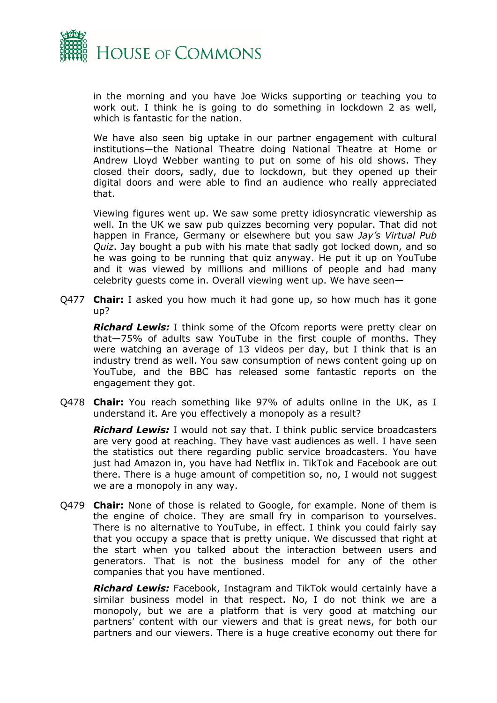

in the morning and you have Joe Wicks supporting or teaching you to work out. I think he is going to do something in lockdown 2 as well, which is fantastic for the nation.

We have also seen big uptake in our partner engagement with cultural institutions—the National Theatre doing National Theatre at Home or Andrew Lloyd Webber wanting to put on some of his old shows. They closed their doors, sadly, due to lockdown, but they opened up their digital doors and were able to find an audience who really appreciated that.

Viewing figures went up. We saw some pretty idiosyncratic viewership as well. In the UK we saw pub quizzes becoming very popular. That did not happen in France, Germany or elsewhere but you saw *Jay's Virtual Pub Quiz*. Jay bought a pub with his mate that sadly got locked down, and so he was going to be running that quiz anyway. He put it up on YouTube and it was viewed by millions and millions of people and had many celebrity guests come in. Overall viewing went up. We have seen—

Q477 **Chair:** I asked you how much it had gone up, so how much has it gone up?

*Richard Lewis:* I think some of the Ofcom reports were pretty clear on that—75% of adults saw YouTube in the first couple of months. They were watching an average of 13 videos per day, but I think that is an industry trend as well. You saw consumption of news content going up on YouTube, and the BBC has released some fantastic reports on the engagement they got.

Q478 **Chair:** You reach something like 97% of adults online in the UK, as I understand it. Are you effectively a monopoly as a result?

*Richard Lewis:* I would not say that. I think public service broadcasters are very good at reaching. They have vast audiences as well. I have seen the statistics out there regarding public service broadcasters. You have just had Amazon in, you have had Netflix in. TikTok and Facebook are out there. There is a huge amount of competition so, no, I would not suggest we are a monopoly in any way.

Q479 **Chair:** None of those is related to Google, for example. None of them is the engine of choice. They are small fry in comparison to yourselves. There is no alternative to YouTube, in effect. I think you could fairly say that you occupy a space that is pretty unique. We discussed that right at the start when you talked about the interaction between users and generators. That is not the business model for any of the other companies that you have mentioned.

*Richard Lewis:* Facebook, Instagram and TikTok would certainly have a similar business model in that respect. No, I do not think we are a monopoly, but we are a platform that is very good at matching our partners' content with our viewers and that is great news, for both our partners and our viewers. There is a huge creative economy out there for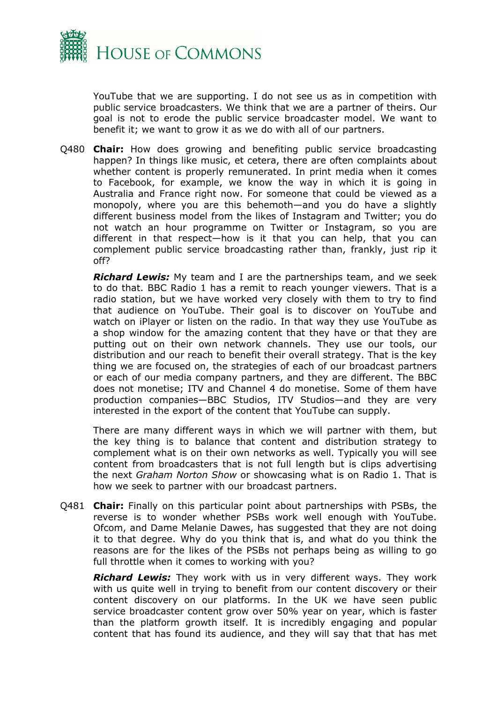

YouTube that we are supporting. I do not see us as in competition with public service broadcasters. We think that we are a partner of theirs. Our goal is not to erode the public service broadcaster model. We want to benefit it; we want to grow it as we do with all of our partners.

Q480 **Chair:** How does growing and benefiting public service broadcasting happen? In things like music, et cetera, there are often complaints about whether content is properly remunerated. In print media when it comes to Facebook, for example, we know the way in which it is going in Australia and France right now. For someone that could be viewed as a monopoly, where you are this behemoth—and you do have a slightly different business model from the likes of Instagram and Twitter; you do not watch an hour programme on Twitter or Instagram, so you are different in that respect—how is it that you can help, that you can complement public service broadcasting rather than, frankly, just rip it off?

*Richard Lewis:* My team and I are the partnerships team, and we seek to do that. BBC Radio 1 has a remit to reach younger viewers. That is a radio station, but we have worked very closely with them to try to find that audience on YouTube. Their goal is to discover on YouTube and watch on iPlayer or listen on the radio. In that way they use YouTube as a shop window for the amazing content that they have or that they are putting out on their own network channels. They use our tools, our distribution and our reach to benefit their overall strategy. That is the key thing we are focused on, the strategies of each of our broadcast partners or each of our media company partners, and they are different. The BBC does not monetise; ITV and Channel 4 do monetise. Some of them have production companies—BBC Studios, ITV Studios—and they are very interested in the export of the content that YouTube can supply.

There are many different ways in which we will partner with them, but the key thing is to balance that content and distribution strategy to complement what is on their own networks as well. Typically you will see content from broadcasters that is not full length but is clips advertising the next *Graham Norton Show* or showcasing what is on Radio 1. That is how we seek to partner with our broadcast partners.

Q481 **Chair:** Finally on this particular point about partnerships with PSBs, the reverse is to wonder whether PSBs work well enough with YouTube. Ofcom, and Dame Melanie Dawes, has suggested that they are not doing it to that degree. Why do you think that is, and what do you think the reasons are for the likes of the PSBs not perhaps being as willing to go full throttle when it comes to working with you?

*Richard Lewis:* They work with us in very different ways. They work with us quite well in trying to benefit from our content discovery or their content discovery on our platforms. In the UK we have seen public service broadcaster content grow over 50% year on year, which is faster than the platform growth itself. It is incredibly engaging and popular content that has found its audience, and they will say that that has met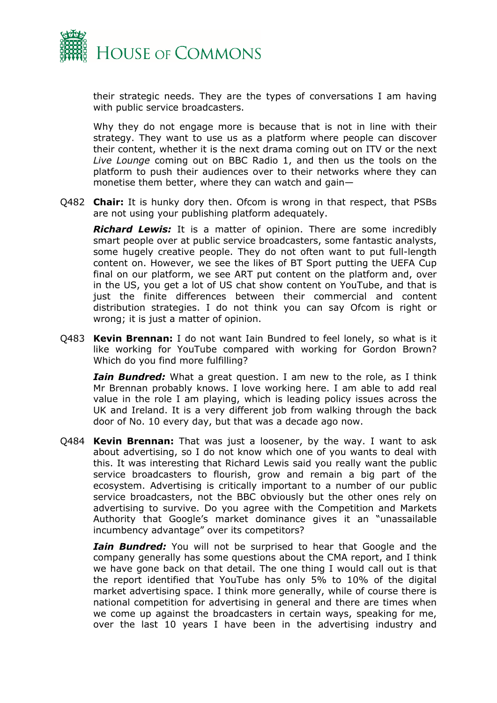

their strategic needs. They are the types of conversations I am having with public service broadcasters.

Why they do not engage more is because that is not in line with their strategy. They want to use us as a platform where people can discover their content, whether it is the next drama coming out on ITV or the next *Live Lounge* coming out on BBC Radio 1, and then us the tools on the platform to push their audiences over to their networks where they can monetise them better, where they can watch and gain—

Q482 **Chair:** It is hunky dory then. Ofcom is wrong in that respect, that PSBs are not using your publishing platform adequately.

*Richard Lewis:* It is a matter of opinion. There are some incredibly smart people over at public service broadcasters, some fantastic analysts, some hugely creative people. They do not often want to put full-length content on. However, we see the likes of BT Sport putting the UEFA Cup final on our platform, we see ART put content on the platform and, over in the US, you get a lot of US chat show content on YouTube, and that is just the finite differences between their commercial and content distribution strategies. I do not think you can say Ofcom is right or wrong; it is just a matter of opinion.

Q483 **Kevin Brennan:** I do not want Iain Bundred to feel lonely, so what is it like working for YouTube compared with working for Gordon Brown? Which do you find more fulfilling?

*Iain Bundred:* What a great question. I am new to the role, as I think Mr Brennan probably knows. I love working here. I am able to add real value in the role I am playing, which is leading policy issues across the UK and Ireland. It is a very different job from walking through the back door of No. 10 every day, but that was a decade ago now.

Q484 **Kevin Brennan:** That was just a loosener, by the way. I want to ask about advertising, so I do not know which one of you wants to deal with this. It was interesting that Richard Lewis said you really want the public service broadcasters to flourish, grow and remain a big part of the ecosystem. Advertising is critically important to a number of our public service broadcasters, not the BBC obviously but the other ones rely on advertising to survive. Do you agree with the Competition and Markets Authority that Google's market dominance gives it an "unassailable incumbency advantage" over its competitors?

*Iain Bundred:* You will not be surprised to hear that Google and the company generally has some questions about the CMA report, and I think we have gone back on that detail. The one thing I would call out is that the report identified that YouTube has only 5% to 10% of the digital market advertising space. I think more generally, while of course there is national competition for advertising in general and there are times when we come up against the broadcasters in certain ways, speaking for me, over the last 10 years I have been in the advertising industry and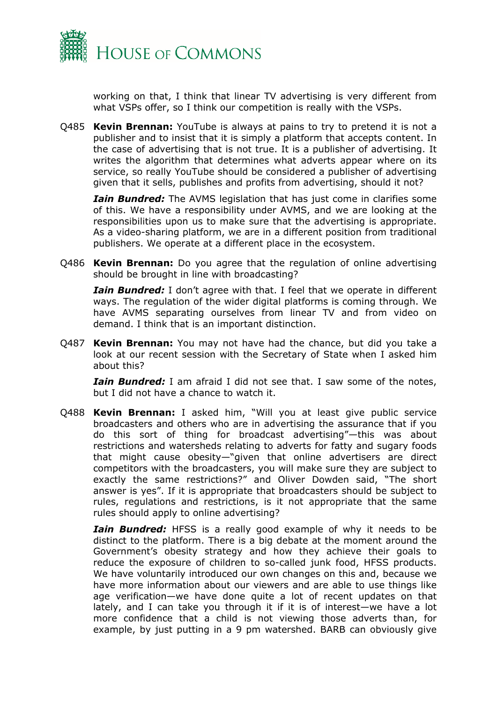

working on that, I think that linear TV advertising is very different from what VSPs offer, so I think our competition is really with the VSPs.

Q485 **Kevin Brennan:** YouTube is always at pains to try to pretend it is not a publisher and to insist that it is simply a platform that accepts content. In the case of advertising that is not true. It is a publisher of advertising. It writes the algorithm that determines what adverts appear where on its service, so really YouTube should be considered a publisher of advertising given that it sells, publishes and profits from advertising, should it not?

*Iain Bundred:* The AVMS legislation that has just come in clarifies some of this. We have a responsibility under AVMS, and we are looking at the responsibilities upon us to make sure that the advertising is appropriate. As a video-sharing platform, we are in a different position from traditional publishers. We operate at a different place in the ecosystem.

Q486 **Kevin Brennan:** Do you agree that the regulation of online advertising should be brought in line with broadcasting?

*Iain Bundred:* I don't agree with that. I feel that we operate in different ways. The regulation of the wider digital platforms is coming through. We have AVMS separating ourselves from linear TV and from video on demand. I think that is an important distinction.

Q487 **Kevin Brennan:** You may not have had the chance, but did you take a look at our recent session with the Secretary of State when I asked him about this?

*Iain Bundred:* I am afraid I did not see that. I saw some of the notes, but I did not have a chance to watch it.

Q488 **Kevin Brennan:** I asked him, "Will you at least give public service broadcasters and others who are in advertising the assurance that if you do this sort of thing for broadcast advertising"—this was about restrictions and watersheds relating to adverts for fatty and sugary foods that might cause obesity—"given that online advertisers are direct competitors with the broadcasters, you will make sure they are subject to exactly the same restrictions?" and Oliver Dowden said, "The short answer is yes". If it is appropriate that broadcasters should be subject to rules, regulations and restrictions, is it not appropriate that the same rules should apply to online advertising?

*Iain Bundred:* HFSS is a really good example of why it needs to be distinct to the platform. There is a big debate at the moment around the Government's obesity strategy and how they achieve their goals to reduce the exposure of children to so-called junk food, HFSS products. We have voluntarily introduced our own changes on this and, because we have more information about our viewers and are able to use things like age verification—we have done quite a lot of recent updates on that lately, and I can take you through it if it is of interest—we have a lot more confidence that a child is not viewing those adverts than, for example, by just putting in a 9 pm watershed. BARB can obviously give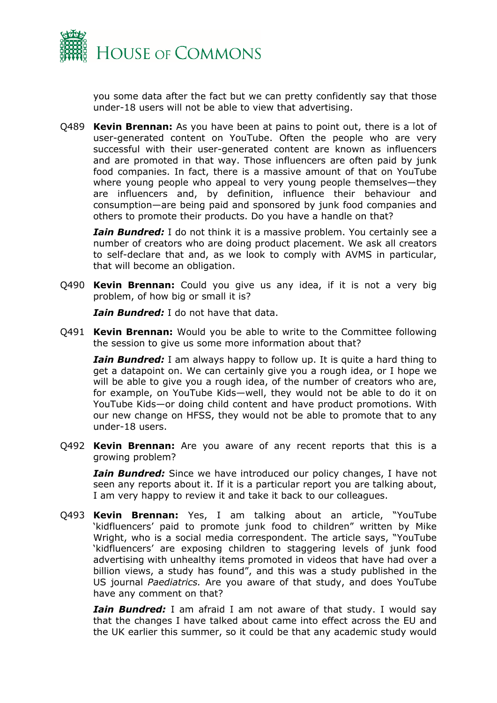

you some data after the fact but we can pretty confidently say that those under-18 users will not be able to view that advertising.

Q489 **Kevin Brennan:** As you have been at pains to point out, there is a lot of user-generated content on YouTube. Often the people who are very successful with their user-generated content are known as influencers and are promoted in that way. Those influencers are often paid by junk food companies. In fact, there is a massive amount of that on YouTube where young people who appeal to very young people themselves—they are influencers and, by definition, influence their behaviour and consumption—are being paid and sponsored by junk food companies and others to promote their products. Do you have a handle on that?

*Iain Bundred:* I do not think it is a massive problem. You certainly see a number of creators who are doing product placement. We ask all creators to self-declare that and, as we look to comply with AVMS in particular, that will become an obligation.

Q490 **Kevin Brennan:** Could you give us any idea, if it is not a very big problem, of how big or small it is?

*Iain Bundred:* I do not have that data.

Q491 **Kevin Brennan:** Would you be able to write to the Committee following the session to give us some more information about that?

*Iain Bundred:* I am always happy to follow up. It is quite a hard thing to get a datapoint on. We can certainly give you a rough idea, or I hope we will be able to give you a rough idea, of the number of creators who are, for example, on YouTube Kids—well, they would not be able to do it on YouTube Kids—or doing child content and have product promotions. With our new change on HFSS, they would not be able to promote that to any under-18 users.

Q492 **Kevin Brennan:** Are you aware of any recent reports that this is a growing problem?

*Iain Bundred:* Since we have introduced our policy changes, I have not seen any reports about it. If it is a particular report you are talking about, I am very happy to review it and take it back to our colleagues.

Q493 **Kevin Brennan:** Yes, I am talking about an article, "YouTube 'kidfluencers' paid to promote junk food to children" written by Mike Wright, who is a social media correspondent. The article says, "YouTube 'kidfluencers' are exposing children to staggering levels of junk food advertising with unhealthy items promoted in videos that have had over a billion views, a study has found", and this was a study published in the US journal *Paediatrics.* Are you aware of that study, and does YouTube have any comment on that?

*Iain Bundred:* I am afraid I am not aware of that study. I would say that the changes I have talked about came into effect across the EU and the UK earlier this summer, so it could be that any academic study would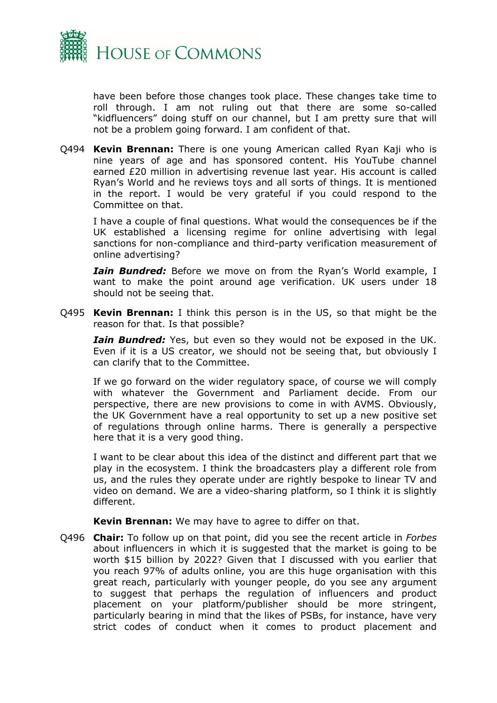

have been before those changes took place. These changes take time to roll through. I am not ruling out that there are some so-called "kidfluencers" doing stuff on our channel, but I am pretty sure that will not be a problem going forward. I am confident of that.

Q494 **Kevin Brennan:** There is one young American called Ryan Kaji who is nine years of age and has sponsored content. His YouTube channel earned £20 million in advertising revenue last year. His account is called Ryan's World and he reviews toys and all sorts of things. It is mentioned in the report. I would be very grateful if you could respond to the Committee on that.

I have a couple of final questions. What would the consequences be if the UK established a licensing regime for online advertising with legal sanctions for non-compliance and third-party verification measurement of online advertising?

*Iain Bundred:* Before we move on from the Ryan's World example, I want to make the point around age verification. UK users under 18 should not be seeing that.

Q495 **Kevin Brennan:** I think this person is in the US, so that might be the reason for that. Is that possible?

*Iain Bundred:* Yes, but even so they would not be exposed in the UK. Even if it is a US creator, we should not be seeing that, but obviously I can clarify that to the Committee.

If we go forward on the wider regulatory space, of course we will comply with whatever the Government and Parliament decide. From our perspective, there are new provisions to come in with AVMS. Obviously, the UK Government have a real opportunity to set up a new positive set of regulations through online harms. There is generally a perspective here that it is a very good thing.

I want to be clear about this idea of the distinct and different part that we play in the ecosystem. I think the broadcasters play a different role from us, and the rules they operate under are rightly bespoke to linear TV and video on demand. We are a video-sharing platform, so I think it is slightly different.

**Kevin Brennan:** We may have to agree to differ on that.

Q496 **Chair:** To follow up on that point, did you see the recent article in *Forbes* about influencers in which it is suggested that the market is going to be worth \$15 billion by 2022? Given that I discussed with you earlier that you reach 97% of adults online, you are this huge organisation with this great reach, particularly with younger people, do you see any argument to suggest that perhaps the regulation of influencers and product placement on your platform/publisher should be more stringent, particularly bearing in mind that the likes of PSBs, for instance, have very strict codes of conduct when it comes to product placement and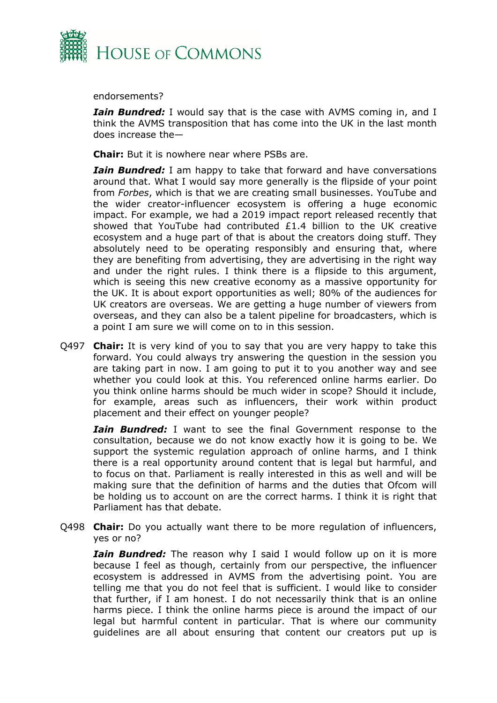

endorsements?

*Iain Bundred:* I would say that is the case with AVMS coming in, and I think the AVMS transposition that has come into the UK in the last month does increase the—

**Chair:** But it is nowhere near where PSBs are.

*Iain Bundred:* I am happy to take that forward and have conversations around that. What I would say more generally is the flipside of your point from *Forbes*, which is that we are creating small businesses. YouTube and the wider creator-influencer ecosystem is offering a huge economic impact. For example, we had a 2019 impact report released recently that showed that YouTube had contributed £1.4 billion to the UK creative ecosystem and a huge part of that is about the creators doing stuff. They absolutely need to be operating responsibly and ensuring that, where they are benefiting from advertising, they are advertising in the right way and under the right rules. I think there is a flipside to this argument, which is seeing this new creative economy as a massive opportunity for the UK. It is about export opportunities as well; 80% of the audiences for UK creators are overseas. We are getting a huge number of viewers from overseas, and they can also be a talent pipeline for broadcasters, which is a point I am sure we will come on to in this session.

Q497 **Chair:** It is very kind of you to say that you are very happy to take this forward. You could always try answering the question in the session you are taking part in now. I am going to put it to you another way and see whether you could look at this. You referenced online harms earlier. Do you think online harms should be much wider in scope? Should it include, for example, areas such as influencers, their work within product placement and their effect on younger people?

*Iain Bundred:* I want to see the final Government response to the consultation, because we do not know exactly how it is going to be. We support the systemic regulation approach of online harms, and I think there is a real opportunity around content that is legal but harmful, and to focus on that. Parliament is really interested in this as well and will be making sure that the definition of harms and the duties that Ofcom will be holding us to account on are the correct harms. I think it is right that Parliament has that debate.

Q498 **Chair:** Do you actually want there to be more regulation of influencers, yes or no?

*Iain Bundred:* The reason why I said I would follow up on it is more because I feel as though, certainly from our perspective, the influencer ecosystem is addressed in AVMS from the advertising point. You are telling me that you do not feel that is sufficient. I would like to consider that further, if I am honest. I do not necessarily think that is an online harms piece. I think the online harms piece is around the impact of our legal but harmful content in particular. That is where our community guidelines are all about ensuring that content our creators put up is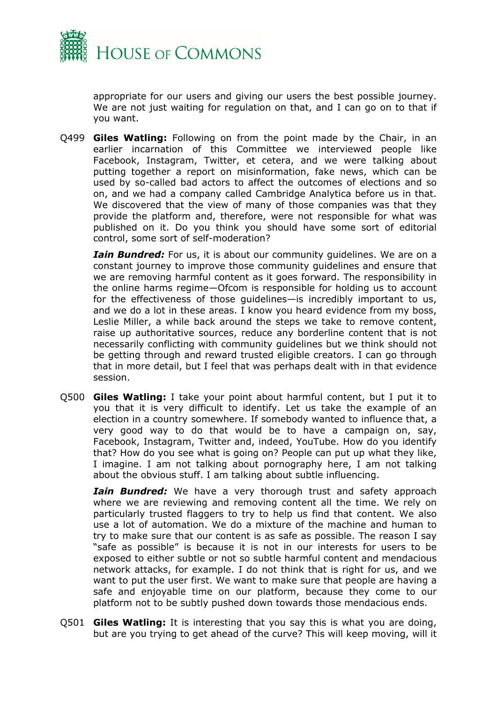

appropriate for our users and giving our users the best possible journey. We are not just waiting for regulation on that, and I can go on to that if you want.

Q499 **Giles Watling:** Following on from the point made by the Chair, in an earlier incarnation of this Committee we interviewed people like Facebook, Instagram, Twitter, et cetera, and we were talking about putting together a report on misinformation, fake news, which can be used by so-called bad actors to affect the outcomes of elections and so on, and we had a company called Cambridge Analytica before us in that. We discovered that the view of many of those companies was that they provide the platform and, therefore, were not responsible for what was published on it. Do you think you should have some sort of editorial control, some sort of self-moderation?

*Iain Bundred:* For us, it is about our community guidelines. We are on a constant journey to improve those community guidelines and ensure that we are removing harmful content as it goes forward. The responsibility in the online harms regime—Ofcom is responsible for holding us to account for the effectiveness of those guidelines—is incredibly important to us, and we do a lot in these areas. I know you heard evidence from my boss, Leslie Miller, a while back around the steps we take to remove content, raise up authoritative sources, reduce any borderline content that is not necessarily conflicting with community guidelines but we think should not be getting through and reward trusted eligible creators. I can go through that in more detail, but I feel that was perhaps dealt with in that evidence session.

Q500 **Giles Watling:** I take your point about harmful content, but I put it to you that it is very difficult to identify. Let us take the example of an election in a country somewhere. If somebody wanted to influence that, a very good way to do that would be to have a campaign on, say, Facebook, Instagram, Twitter and, indeed, YouTube. How do you identify that? How do you see what is going on? People can put up what they like, I imagine. I am not talking about pornography here, I am not talking about the obvious stuff. I am talking about subtle influencing.

*Iain Bundred:* We have a very thorough trust and safety approach where we are reviewing and removing content all the time. We rely on particularly trusted flaggers to try to help us find that content. We also use a lot of automation. We do a mixture of the machine and human to try to make sure that our content is as safe as possible. The reason I say "safe as possible" is because it is not in our interests for users to be exposed to either subtle or not so subtle harmful content and mendacious network attacks, for example. I do not think that is right for us, and we want to put the user first. We want to make sure that people are having a safe and enjoyable time on our platform, because they come to our platform not to be subtly pushed down towards those mendacious ends.

Q501 **Giles Watling:** It is interesting that you say this is what you are doing, but are you trying to get ahead of the curve? This will keep moving, will it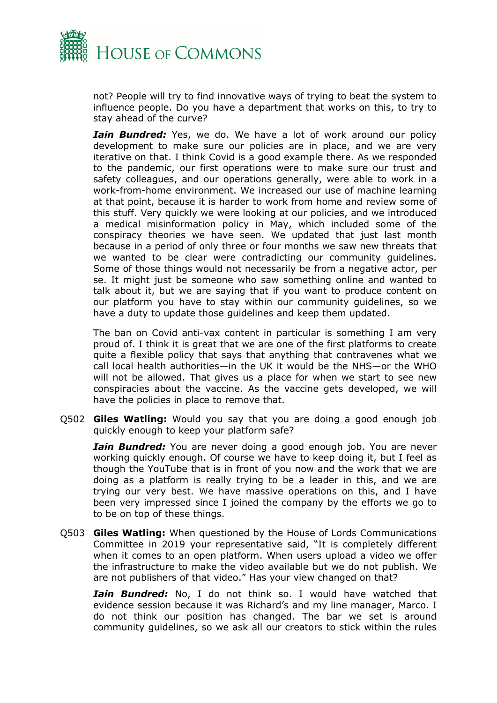

not? People will try to find innovative ways of trying to beat the system to influence people. Do you have a department that works on this, to try to stay ahead of the curve?

*Iain Bundred:* Yes, we do. We have a lot of work around our policy development to make sure our policies are in place, and we are very iterative on that. I think Covid is a good example there. As we responded to the pandemic, our first operations were to make sure our trust and safety colleagues, and our operations generally, were able to work in a work-from-home environment. We increased our use of machine learning at that point, because it is harder to work from home and review some of this stuff. Very quickly we were looking at our policies, and we introduced a medical misinformation policy in May, which included some of the conspiracy theories we have seen. We updated that just last month because in a period of only three or four months we saw new threats that we wanted to be clear were contradicting our community guidelines. Some of those things would not necessarily be from a negative actor, per se. It might just be someone who saw something online and wanted to talk about it, but we are saying that if you want to produce content on our platform you have to stay within our community guidelines, so we have a duty to update those guidelines and keep them updated.

The ban on Covid anti-vax content in particular is something I am very proud of. I think it is great that we are one of the first platforms to create quite a flexible policy that says that anything that contravenes what we call local health authorities—in the UK it would be the NHS—or the WHO will not be allowed. That gives us a place for when we start to see new conspiracies about the vaccine. As the vaccine gets developed, we will have the policies in place to remove that.

Q502 **Giles Watling:** Would you say that you are doing a good enough job quickly enough to keep your platform safe?

*Iain Bundred:* You are never doing a good enough job. You are never working quickly enough. Of course we have to keep doing it, but I feel as though the YouTube that is in front of you now and the work that we are doing as a platform is really trying to be a leader in this, and we are trying our very best. We have massive operations on this, and I have been very impressed since I joined the company by the efforts we go to to be on top of these things.

Q503 **Giles Watling:** When questioned by the House of Lords Communications Committee in 2019 your representative said, "It is completely different when it comes to an open platform. When users upload a video we offer the infrastructure to make the video available but we do not publish. We are not publishers of that video." Has your view changed on that?

*Iain Bundred:* No, I do not think so. I would have watched that evidence session because it was Richard's and my line manager, Marco. I do not think our position has changed. The bar we set is around community guidelines, so we ask all our creators to stick within the rules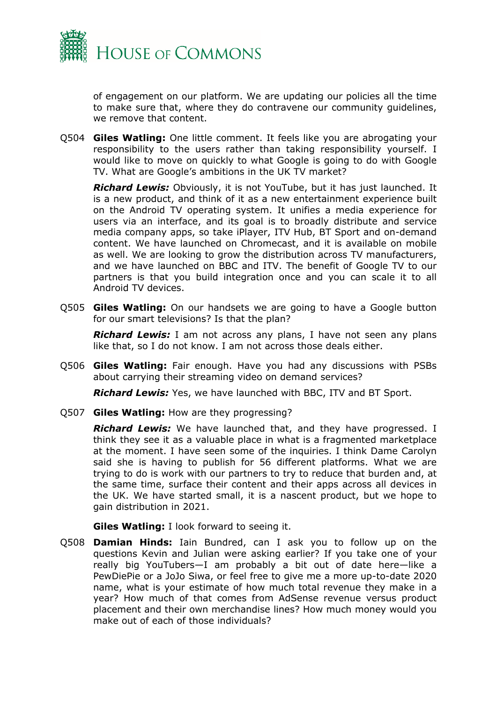

of engagement on our platform. We are updating our policies all the time to make sure that, where they do contravene our community guidelines, we remove that content.

Q504 **Giles Watling:** One little comment. It feels like you are abrogating your responsibility to the users rather than taking responsibility yourself. I would like to move on quickly to what Google is going to do with Google TV. What are Google's ambitions in the UK TV market?

*Richard Lewis:* Obviously, it is not YouTube, but it has just launched. It is a new product, and think of it as a new entertainment experience built on the Android TV operating system. It unifies a media experience for users via an interface, and its goal is to broadly distribute and service media company apps, so take iPlayer, ITV Hub, BT Sport and on-demand content. We have launched on Chromecast, and it is available on mobile as well. We are looking to grow the distribution across TV manufacturers, and we have launched on BBC and ITV. The benefit of Google TV to our partners is that you build integration once and you can scale it to all Android TV devices.

Q505 **Giles Watling:** On our handsets we are going to have a Google button for our smart televisions? Is that the plan?

*Richard Lewis:* I am not across any plans, I have not seen any plans like that, so I do not know. I am not across those deals either.

Q506 **Giles Watling:** Fair enough. Have you had any discussions with PSBs about carrying their streaming video on demand services?

*Richard Lewis:* Yes, we have launched with BBC, ITV and BT Sport.

Q507 **Giles Watling:** How are they progressing?

**Richard Lewis:** We have launched that, and they have progressed. I think they see it as a valuable place in what is a fragmented marketplace at the moment. I have seen some of the inquiries. I think Dame Carolyn said she is having to publish for 56 different platforms. What we are trying to do is work with our partners to try to reduce that burden and, at the same time, surface their content and their apps across all devices in the UK. We have started small, it is a nascent product, but we hope to gain distribution in 2021.

#### **Giles Watling:** I look forward to seeing it.

Q508 **Damian Hinds:** Iain Bundred, can I ask you to follow up on the questions Kevin and Julian were asking earlier? If you take one of your really big YouTubers—I am probably a bit out of date here—like a PewDiePie or a JoJo Siwa, or feel free to give me a more up-to-date 2020 name, what is your estimate of how much total revenue they make in a year? How much of that comes from AdSense revenue versus product placement and their own merchandise lines? How much money would you make out of each of those individuals?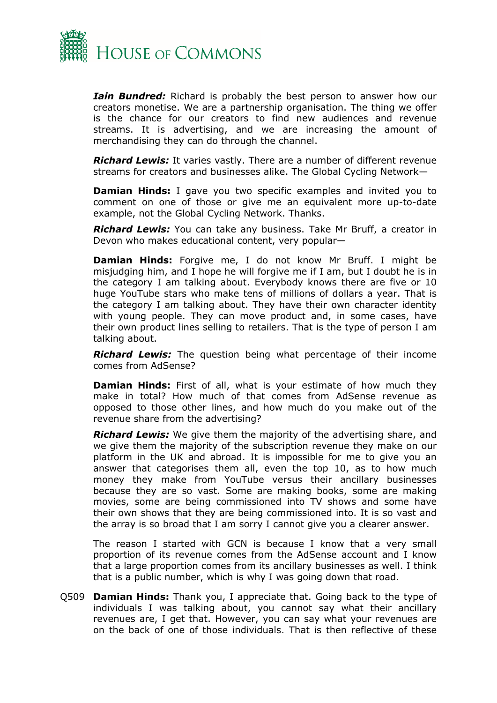

*Iain Bundred:* Richard is probably the best person to answer how our creators monetise. We are a partnership organisation. The thing we offer is the chance for our creators to find new audiences and revenue streams. It is advertising, and we are increasing the amount of merchandising they can do through the channel.

*Richard Lewis:* It varies vastly. There are a number of different revenue streams for creators and businesses alike. The Global Cycling Network—

**Damian Hinds:** I gave you two specific examples and invited you to comment on one of those or give me an equivalent more up-to-date example, not the Global Cycling Network. Thanks.

*Richard Lewis:* You can take any business. Take Mr Bruff, a creator in Devon who makes educational content, very popular—

**Damian Hinds:** Forgive me, I do not know Mr Bruff. I might be misjudging him, and I hope he will forgive me if I am, but I doubt he is in the category I am talking about. Everybody knows there are five or 10 huge YouTube stars who make tens of millions of dollars a year. That is the category I am talking about. They have their own character identity with young people. They can move product and, in some cases, have their own product lines selling to retailers. That is the type of person I am talking about.

*Richard Lewis:* The question being what percentage of their income comes from AdSense?

**Damian Hinds:** First of all, what is your estimate of how much they make in total? How much of that comes from AdSense revenue as opposed to those other lines, and how much do you make out of the revenue share from the advertising?

*Richard Lewis:* We give them the majority of the advertising share, and we give them the majority of the subscription revenue they make on our platform in the UK and abroad. It is impossible for me to give you an answer that categorises them all, even the top 10, as to how much money they make from YouTube versus their ancillary businesses because they are so vast. Some are making books, some are making movies, some are being commissioned into TV shows and some have their own shows that they are being commissioned into. It is so vast and the array is so broad that I am sorry I cannot give you a clearer answer.

The reason I started with GCN is because I know that a very small proportion of its revenue comes from the AdSense account and I know that a large proportion comes from its ancillary businesses as well. I think that is a public number, which is why I was going down that road.

Q509 **Damian Hinds:** Thank you, I appreciate that. Going back to the type of individuals I was talking about, you cannot say what their ancillary revenues are, I get that. However, you can say what your revenues are on the back of one of those individuals. That is then reflective of these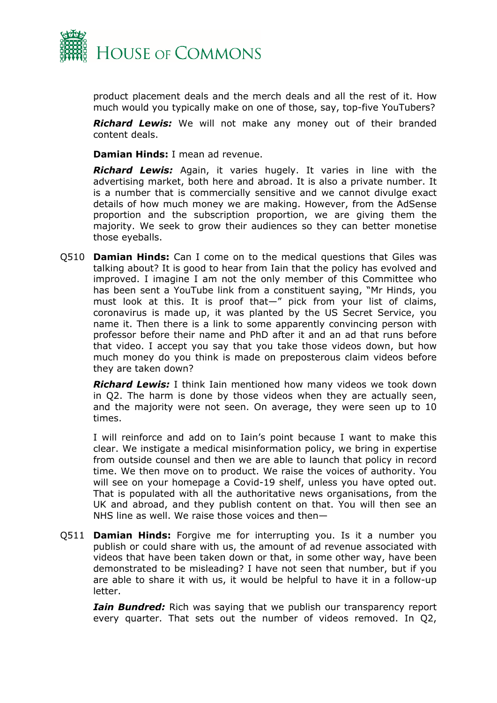

product placement deals and the merch deals and all the rest of it. How much would you typically make on one of those, say, top-five YouTubers?

*Richard Lewis:* We will not make any money out of their branded content deals.

**Damian Hinds:** I mean ad revenue.

*Richard Lewis:* Again, it varies hugely. It varies in line with the advertising market, both here and abroad. It is also a private number. It is a number that is commercially sensitive and we cannot divulge exact details of how much money we are making. However, from the AdSense proportion and the subscription proportion, we are giving them the majority. We seek to grow their audiences so they can better monetise those eyeballs.

Q510 **Damian Hinds:** Can I come on to the medical questions that Giles was talking about? It is good to hear from Iain that the policy has evolved and improved. I imagine I am not the only member of this Committee who has been sent a YouTube link from a constituent saying, "Mr Hinds, you must look at this. It is proof that—" pick from your list of claims, coronavirus is made up, it was planted by the US Secret Service, you name it. Then there is a link to some apparently convincing person with professor before their name and PhD after it and an ad that runs before that video. I accept you say that you take those videos down, but how much money do you think is made on preposterous claim videos before they are taken down?

*Richard Lewis:* I think Iain mentioned how many videos we took down in Q2. The harm is done by those videos when they are actually seen, and the majority were not seen. On average, they were seen up to 10 times.

I will reinforce and add on to Iain's point because I want to make this clear. We instigate a medical misinformation policy, we bring in expertise from outside counsel and then we are able to launch that policy in record time. We then move on to product. We raise the voices of authority. You will see on your homepage a Covid-19 shelf, unless you have opted out. That is populated with all the authoritative news organisations, from the UK and abroad, and they publish content on that. You will then see an NHS line as well. We raise those voices and then—

Q511 **Damian Hinds:** Forgive me for interrupting you. Is it a number you publish or could share with us, the amount of ad revenue associated with videos that have been taken down or that, in some other way, have been demonstrated to be misleading? I have not seen that number, but if you are able to share it with us, it would be helpful to have it in a follow-up letter.

*Iain Bundred:* Rich was saying that we publish our transparency report every quarter. That sets out the number of videos removed. In Q2,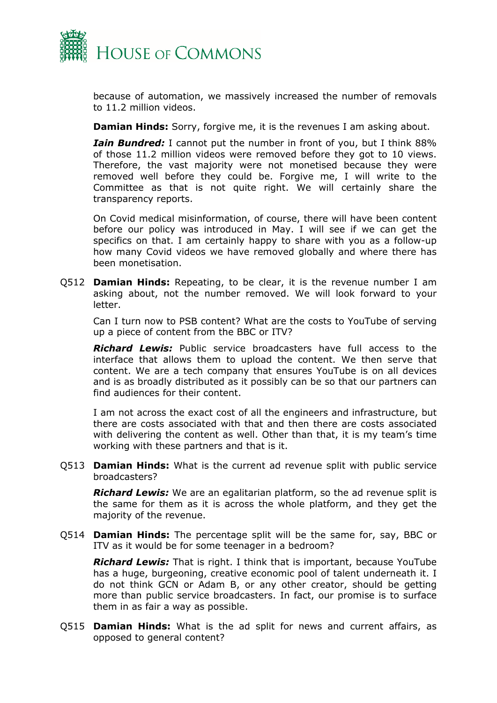

because of automation, we massively increased the number of removals to 11.2 million videos.

**Damian Hinds:** Sorry, forgive me, it is the revenues I am asking about.

*Iain Bundred:* I cannot put the number in front of you, but I think 88% of those 11.2 million videos were removed before they got to 10 views. Therefore, the vast majority were not monetised because they were removed well before they could be. Forgive me, I will write to the Committee as that is not quite right. We will certainly share the transparency reports.

On Covid medical misinformation, of course, there will have been content before our policy was introduced in May. I will see if we can get the specifics on that. I am certainly happy to share with you as a follow-up how many Covid videos we have removed globally and where there has been monetisation.

Q512 **Damian Hinds:** Repeating, to be clear, it is the revenue number I am asking about, not the number removed. We will look forward to your letter.

Can I turn now to PSB content? What are the costs to YouTube of serving up a piece of content from the BBC or ITV?

*Richard Lewis:* Public service broadcasters have full access to the interface that allows them to upload the content. We then serve that content. We are a tech company that ensures YouTube is on all devices and is as broadly distributed as it possibly can be so that our partners can find audiences for their content.

I am not across the exact cost of all the engineers and infrastructure, but there are costs associated with that and then there are costs associated with delivering the content as well. Other than that, it is my team's time working with these partners and that is it.

Q513 **Damian Hinds:** What is the current ad revenue split with public service broadcasters?

*Richard Lewis:* We are an egalitarian platform, so the ad revenue split is the same for them as it is across the whole platform, and they get the majority of the revenue.

Q514 **Damian Hinds:** The percentage split will be the same for, say, BBC or ITV as it would be for some teenager in a bedroom?

*Richard Lewis:* That is right. I think that is important, because YouTube has a huge, burgeoning, creative economic pool of talent underneath it. I do not think GCN or Adam B, or any other creator, should be getting more than public service broadcasters. In fact, our promise is to surface them in as fair a way as possible.

Q515 **Damian Hinds:** What is the ad split for news and current affairs, as opposed to general content?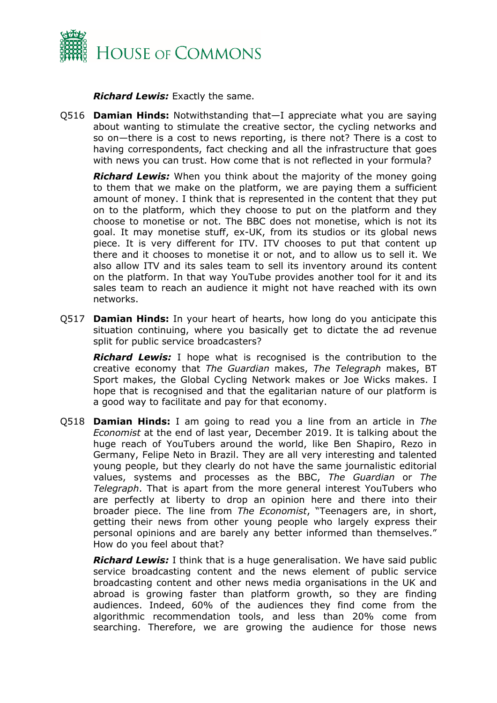

*Richard Lewis:* Exactly the same.

Q516 **Damian Hinds:** Notwithstanding that—I appreciate what you are saying about wanting to stimulate the creative sector, the cycling networks and so on—there is a cost to news reporting, is there not? There is a cost to having correspondents, fact checking and all the infrastructure that goes with news you can trust. How come that is not reflected in your formula?

*Richard Lewis:* When you think about the majority of the money going to them that we make on the platform, we are paying them a sufficient amount of money. I think that is represented in the content that they put on to the platform, which they choose to put on the platform and they choose to monetise or not. The BBC does not monetise, which is not its goal. It may monetise stuff, ex-UK, from its studios or its global news piece. It is very different for ITV. ITV chooses to put that content up there and it chooses to monetise it or not, and to allow us to sell it. We also allow ITV and its sales team to sell its inventory around its content on the platform. In that way YouTube provides another tool for it and its sales team to reach an audience it might not have reached with its own networks.

Q517 **Damian Hinds:** In your heart of hearts, how long do you anticipate this situation continuing, where you basically get to dictate the ad revenue split for public service broadcasters?

*Richard Lewis:* I hope what is recognised is the contribution to the creative economy that *The Guardian* makes, *The Telegraph* makes, BT Sport makes, the Global Cycling Network makes or Joe Wicks makes. I hope that is recognised and that the egalitarian nature of our platform is a good way to facilitate and pay for that economy.

Q518 **Damian Hinds:** I am going to read you a line from an article in *The Economist* at the end of last year, December 2019. It is talking about the huge reach of YouTubers around the world, like Ben Shapiro, Rezo in Germany, Felipe Neto in Brazil. They are all very interesting and talented young people, but they clearly do not have the same journalistic editorial values, systems and processes as the BBC, *The Guardian* or *The Telegraph*. That is apart from the more general interest YouTubers who are perfectly at liberty to drop an opinion here and there into their broader piece. The line from *The Economist*, "Teenagers are, in short, getting their news from other young people who largely express their personal opinions and are barely any better informed than themselves." How do you feel about that?

*Richard Lewis:* I think that is a huge generalisation. We have said public service broadcasting content and the news element of public service broadcasting content and other news media organisations in the UK and abroad is growing faster than platform growth, so they are finding audiences. Indeed, 60% of the audiences they find come from the algorithmic recommendation tools, and less than 20% come from searching. Therefore, we are growing the audience for those news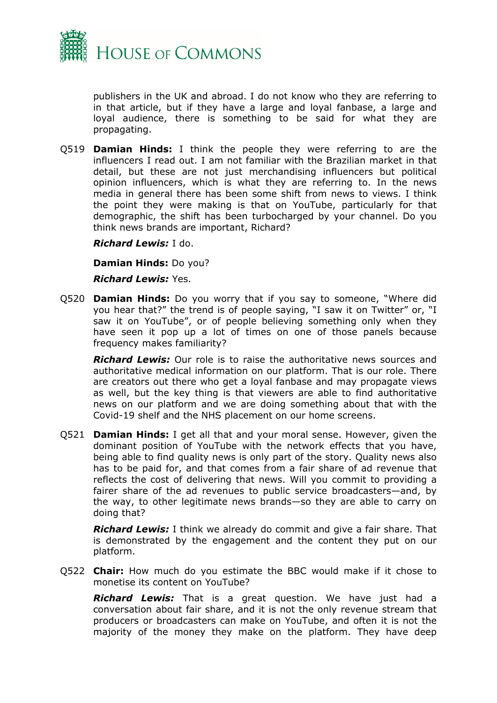

publishers in the UK and abroad. I do not know who they are referring to in that article, but if they have a large and loyal fanbase, a large and loyal audience, there is something to be said for what they are propagating.

Q519 **Damian Hinds:** I think the people they were referring to are the influencers I read out. I am not familiar with the Brazilian market in that detail, but these are not just merchandising influencers but political opinion influencers, which is what they are referring to. In the news media in general there has been some shift from news to views. I think the point they were making is that on YouTube, particularly for that demographic, the shift has been turbocharged by your channel. Do you think news brands are important, Richard?

*Richard Lewis:* I do.

**Damian Hinds:** Do you?

*Richard Lewis:* Yes.

Q520 **Damian Hinds:** Do you worry that if you say to someone, "Where did you hear that?" the trend is of people saying, "I saw it on Twitter" or, "I saw it on YouTube", or of people believing something only when they have seen it pop up a lot of times on one of those panels because frequency makes familiarity?

*Richard Lewis:* Our role is to raise the authoritative news sources and authoritative medical information on our platform. That is our role. There are creators out there who get a loyal fanbase and may propagate views as well, but the key thing is that viewers are able to find authoritative news on our platform and we are doing something about that with the Covid-19 shelf and the NHS placement on our home screens.

Q521 **Damian Hinds:** I get all that and your moral sense. However, given the dominant position of YouTube with the network effects that you have, being able to find quality news is only part of the story. Quality news also has to be paid for, and that comes from a fair share of ad revenue that reflects the cost of delivering that news. Will you commit to providing a fairer share of the ad revenues to public service broadcasters—and, by the way, to other legitimate news brands—so they are able to carry on doing that?

*Richard Lewis:* I think we already do commit and give a fair share. That is demonstrated by the engagement and the content they put on our platform.

Q522 **Chair:** How much do you estimate the BBC would make if it chose to monetise its content on YouTube?

*Richard Lewis:* That is a great question. We have just had a conversation about fair share, and it is not the only revenue stream that producers or broadcasters can make on YouTube, and often it is not the majority of the money they make on the platform. They have deep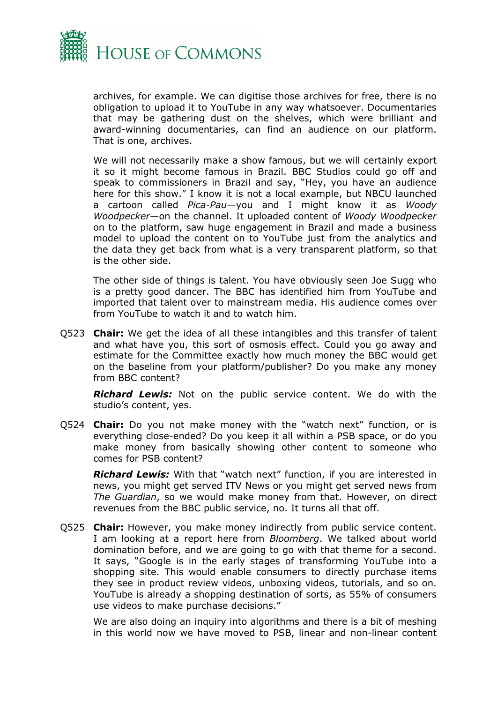

archives, for example. We can digitise those archives for free, there is no obligation to upload it to YouTube in any way whatsoever. Documentaries that may be gathering dust on the shelves, which were brilliant and award-winning documentaries, can find an audience on our platform. That is one, archives.

We will not necessarily make a show famous, but we will certainly export it so it might become famous in Brazil. BBC Studios could go off and speak to commissioners in Brazil and say, "Hey, you have an audience here for this show." I know it is not a local example, but NBCU launched a cartoon called *Pica-Pau*—you and I might know it as *Woody Woodpecker*—on the channel. It uploaded content of *Woody Woodpecker* on to the platform, saw huge engagement in Brazil and made a business model to upload the content on to YouTube just from the analytics and the data they get back from what is a very transparent platform, so that is the other side.

The other side of things is talent. You have obviously seen Joe Sugg who is a pretty good dancer. The BBC has identified him from YouTube and imported that talent over to mainstream media. His audience comes over from YouTube to watch it and to watch him.

Q523 **Chair:** We get the idea of all these intangibles and this transfer of talent and what have you, this sort of osmosis effect. Could you go away and estimate for the Committee exactly how much money the BBC would get on the baseline from your platform/publisher? Do you make any money from BBC content?

*Richard Lewis:* Not on the public service content. We do with the studio's content, yes.

Q524 **Chair:** Do you not make money with the "watch next" function, or is everything close-ended? Do you keep it all within a PSB space, or do you make money from basically showing other content to someone who comes for PSB content?

*Richard Lewis:* With that "watch next" function, if you are interested in news, you might get served ITV News or you might get served news from *The Guardian*, so we would make money from that. However, on direct revenues from the BBC public service, no. It turns all that off.

Q525 **Chair:** However, you make money indirectly from public service content. I am looking at a report here from *Bloomberg*. We talked about world domination before, and we are going to go with that theme for a second. It says, "Google is in the early stages of transforming YouTube into a shopping site. This would enable consumers to directly purchase items they see in product review videos, unboxing videos, tutorials, and so on. YouTube is already a shopping destination of sorts, as 55% of consumers use videos to make purchase decisions."

We are also doing an inquiry into algorithms and there is a bit of meshing in this world now we have moved to PSB, linear and non-linear content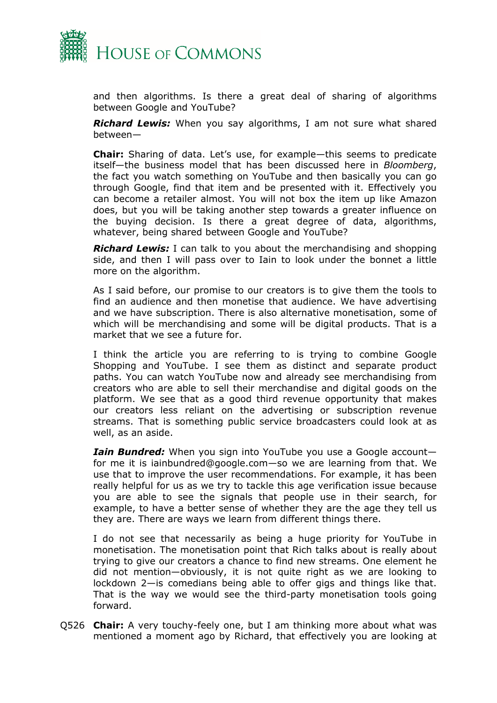

and then algorithms. Is there a great deal of sharing of algorithms between Google and YouTube?

*Richard Lewis:* When you say algorithms, I am not sure what shared between—

**Chair:** Sharing of data. Let's use, for example—this seems to predicate itself—the business model that has been discussed here in *Bloomberg*, the fact you watch something on YouTube and then basically you can go through Google, find that item and be presented with it. Effectively you can become a retailer almost. You will not box the item up like Amazon does, but you will be taking another step towards a greater influence on the buying decision. Is there a great degree of data, algorithms, whatever, being shared between Google and YouTube?

*Richard Lewis:* I can talk to you about the merchandising and shopping side, and then I will pass over to Iain to look under the bonnet a little more on the algorithm.

As I said before, our promise to our creators is to give them the tools to find an audience and then monetise that audience. We have advertising and we have subscription. There is also alternative monetisation, some of which will be merchandising and some will be digital products. That is a market that we see a future for.

I think the article you are referring to is trying to combine Google Shopping and YouTube. I see them as distinct and separate product paths. You can watch YouTube now and already see merchandising from creators who are able to sell their merchandise and digital goods on the platform. We see that as a good third revenue opportunity that makes our creators less reliant on the advertising or subscription revenue streams. That is something public service broadcasters could look at as well, as an aside.

*Iain Bundred:* When you sign into YouTube you use a Google account for me it is iainbundred@google.com—so we are learning from that. We use that to improve the user recommendations. For example, it has been really helpful for us as we try to tackle this age verification issue because you are able to see the signals that people use in their search, for example, to have a better sense of whether they are the age they tell us they are. There are ways we learn from different things there.

I do not see that necessarily as being a huge priority for YouTube in monetisation. The monetisation point that Rich talks about is really about trying to give our creators a chance to find new streams. One element he did not mention—obviously, it is not quite right as we are looking to lockdown 2—is comedians being able to offer gigs and things like that. That is the way we would see the third-party monetisation tools going forward.

Q526 **Chair:** A very touchy-feely one, but I am thinking more about what was mentioned a moment ago by Richard, that effectively you are looking at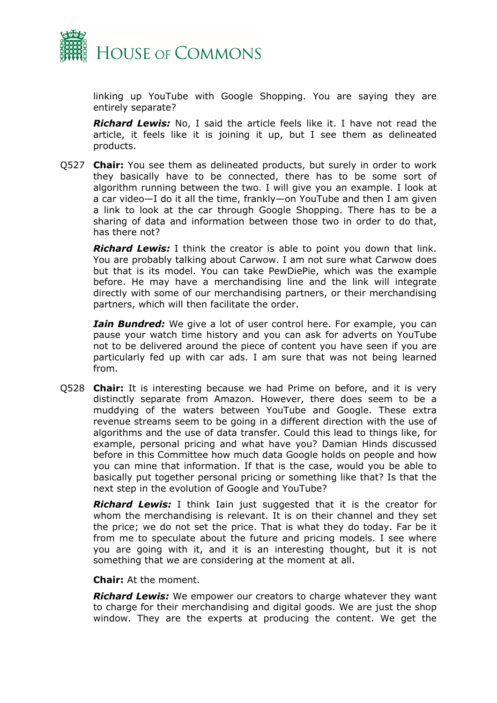

linking up YouTube with Google Shopping. You are saying they are entirely separate?

*Richard Lewis:* No, I said the article feels like it. I have not read the article, it feels like it is joining it up, but I see them as delineated products.

Q527 **Chair:** You see them as delineated products, but surely in order to work they basically have to be connected, there has to be some sort of algorithm running between the two. I will give you an example. I look at a car video—I do it all the time, frankly—on YouTube and then I am given a link to look at the car through Google Shopping. There has to be a sharing of data and information between those two in order to do that, has there not?

*Richard Lewis:* I think the creator is able to point you down that link. You are probably talking about Carwow. I am not sure what Carwow does but that is its model. You can take PewDiePie, which was the example before. He may have a merchandising line and the link will integrate directly with some of our merchandising partners, or their merchandising partners, which will then facilitate the order.

*Iain Bundred:* We give a lot of user control here. For example, you can pause your watch time history and you can ask for adverts on YouTube not to be delivered around the piece of content you have seen if you are particularly fed up with car ads. I am sure that was not being learned from.

Q528 **Chair:** It is interesting because we had Prime on before, and it is very distinctly separate from Amazon. However, there does seem to be a muddying of the waters between YouTube and Google. These extra revenue streams seem to be going in a different direction with the use of algorithms and the use of data transfer. Could this lead to things like, for example, personal pricing and what have you? Damian Hinds discussed before in this Committee how much data Google holds on people and how you can mine that information. If that is the case, would you be able to basically put together personal pricing or something like that? Is that the next step in the evolution of Google and YouTube?

*Richard Lewis:* I think Iain just suggested that it is the creator for whom the merchandising is relevant. It is on their channel and they set the price; we do not set the price. That is what they do today. Far be it from me to speculate about the future and pricing models. I see where you are going with it, and it is an interesting thought, but it is not something that we are considering at the moment at all.

**Chair:** At the moment.

*Richard Lewis:* We empower our creators to charge whatever they want to charge for their merchandising and digital goods. We are just the shop window. They are the experts at producing the content. We get the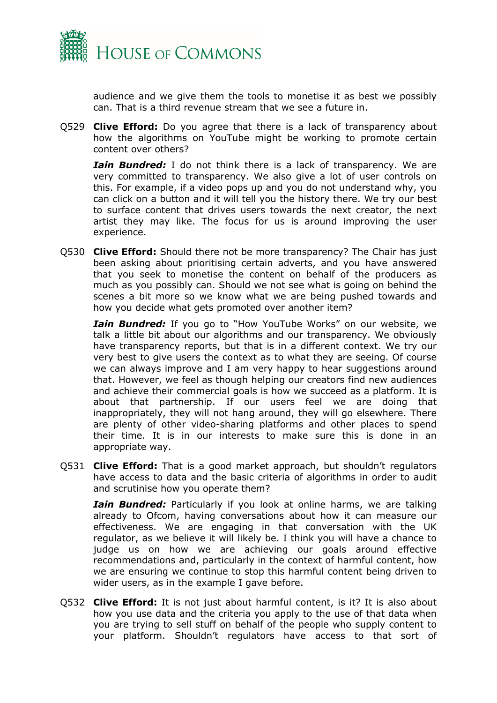

audience and we give them the tools to monetise it as best we possibly can. That is a third revenue stream that we see a future in.

Q529 **Clive Efford:** Do you agree that there is a lack of transparency about how the algorithms on YouTube might be working to promote certain content over others?

*Iain Bundred:* I do not think there is a lack of transparency. We are very committed to transparency. We also give a lot of user controls on this. For example, if a video pops up and you do not understand why, you can click on a button and it will tell you the history there. We try our best to surface content that drives users towards the next creator, the next artist they may like. The focus for us is around improving the user experience.

Q530 **Clive Efford:** Should there not be more transparency? The Chair has just been asking about prioritising certain adverts, and you have answered that you seek to monetise the content on behalf of the producers as much as you possibly can. Should we not see what is going on behind the scenes a bit more so we know what we are being pushed towards and how you decide what gets promoted over another item?

*Iain Bundred:* If you go to "How YouTube Works" on our website, we talk a little bit about our algorithms and our transparency. We obviously have transparency reports, but that is in a different context. We try our very best to give users the context as to what they are seeing. Of course we can always improve and I am very happy to hear suggestions around that. However, we feel as though helping our creators find new audiences and achieve their commercial goals is how we succeed as a platform. It is about that partnership. If our users feel we are doing that inappropriately, they will not hang around, they will go elsewhere. There are plenty of other video-sharing platforms and other places to spend their time. It is in our interests to make sure this is done in an appropriate way.

Q531 **Clive Efford:** That is a good market approach, but shouldn't regulators have access to data and the basic criteria of algorithms in order to audit and scrutinise how you operate them?

*Iain Bundred:* Particularly if you look at online harms, we are talking already to Ofcom, having conversations about how it can measure our effectiveness. We are engaging in that conversation with the UK regulator, as we believe it will likely be. I think you will have a chance to judge us on how we are achieving our goals around effective recommendations and, particularly in the context of harmful content, how we are ensuring we continue to stop this harmful content being driven to wider users, as in the example I gave before.

Q532 **Clive Efford:** It is not just about harmful content, is it? It is also about how you use data and the criteria you apply to the use of that data when you are trying to sell stuff on behalf of the people who supply content to your platform. Shouldn't regulators have access to that sort of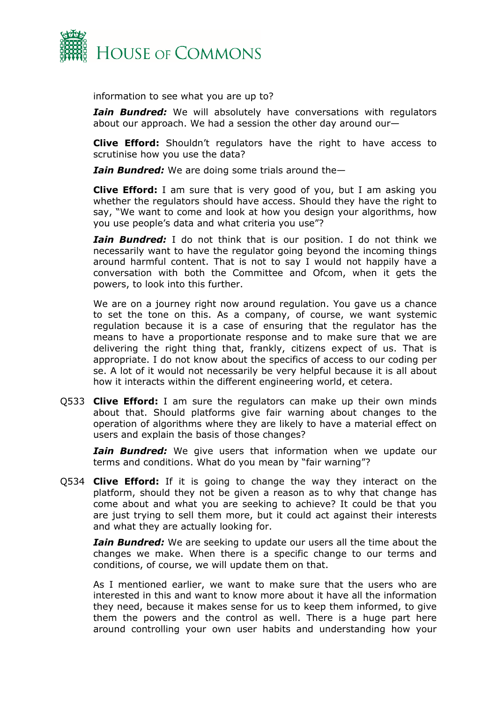

information to see what you are up to?

*Iain Bundred:* We will absolutely have conversations with regulators about our approach. We had a session the other day around our—

**Clive Efford:** Shouldn't regulators have the right to have access to scrutinise how you use the data?

*Iain Bundred:* We are doing some trials around the—

**Clive Efford:** I am sure that is very good of you, but I am asking you whether the regulators should have access. Should they have the right to say, "We want to come and look at how you design your algorithms, how you use people's data and what criteria you use"?

*Iain Bundred:* I do not think that is our position. I do not think we necessarily want to have the regulator going beyond the incoming things around harmful content. That is not to say I would not happily have a conversation with both the Committee and Ofcom, when it gets the powers, to look into this further.

We are on a journey right now around regulation. You gave us a chance to set the tone on this. As a company, of course, we want systemic regulation because it is a case of ensuring that the regulator has the means to have a proportionate response and to make sure that we are delivering the right thing that, frankly, citizens expect of us. That is appropriate. I do not know about the specifics of access to our coding per se. A lot of it would not necessarily be very helpful because it is all about how it interacts within the different engineering world, et cetera.

Q533 **Clive Efford:** I am sure the regulators can make up their own minds about that. Should platforms give fair warning about changes to the operation of algorithms where they are likely to have a material effect on users and explain the basis of those changes?

*Iain Bundred:* We give users that information when we update our terms and conditions. What do you mean by "fair warning"?

Q534 **Clive Efford:** If it is going to change the way they interact on the platform, should they not be given a reason as to why that change has come about and what you are seeking to achieve? It could be that you are just trying to sell them more, but it could act against their interests and what they are actually looking for.

*Iain Bundred:* We are seeking to update our users all the time about the changes we make. When there is a specific change to our terms and conditions, of course, we will update them on that.

As I mentioned earlier, we want to make sure that the users who are interested in this and want to know more about it have all the information they need, because it makes sense for us to keep them informed, to give them the powers and the control as well. There is a huge part here around controlling your own user habits and understanding how your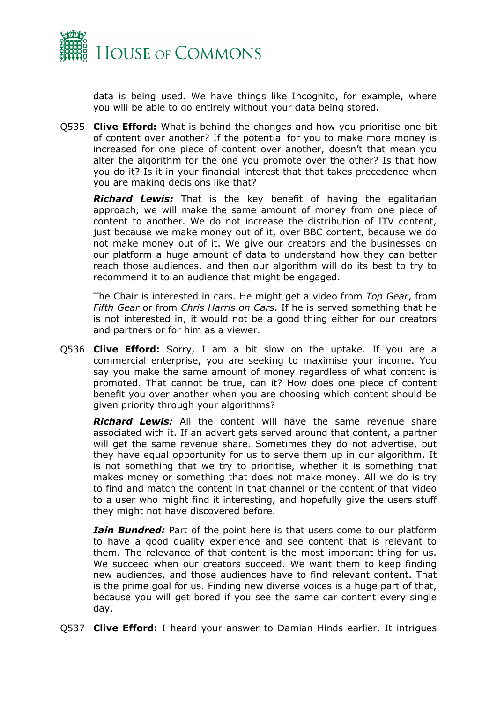

data is being used. We have things like Incognito, for example, where you will be able to go entirely without your data being stored.

Q535 **Clive Efford:** What is behind the changes and how you prioritise one bit of content over another? If the potential for you to make more money is increased for one piece of content over another, doesn't that mean you alter the algorithm for the one you promote over the other? Is that how you do it? Is it in your financial interest that that takes precedence when you are making decisions like that?

*Richard Lewis:* That is the key benefit of having the egalitarian approach, we will make the same amount of money from one piece of content to another. We do not increase the distribution of ITV content, just because we make money out of it, over BBC content, because we do not make money out of it. We give our creators and the businesses on our platform a huge amount of data to understand how they can better reach those audiences, and then our algorithm will do its best to try to recommend it to an audience that might be engaged.

The Chair is interested in cars. He might get a video from *Top Gear*, from *Fifth Gear* or from *Chris Harris on Cars*. If he is served something that he is not interested in, it would not be a good thing either for our creators and partners or for him as a viewer.

Q536 **Clive Efford:** Sorry, I am a bit slow on the uptake. If you are a commercial enterprise, you are seeking to maximise your income. You say you make the same amount of money regardless of what content is promoted. That cannot be true, can it? How does one piece of content benefit you over another when you are choosing which content should be given priority through your algorithms?

*Richard Lewis:* All the content will have the same revenue share associated with it. If an advert gets served around that content, a partner will get the same revenue share. Sometimes they do not advertise, but they have equal opportunity for us to serve them up in our algorithm. It is not something that we try to prioritise, whether it is something that makes money or something that does not make money. All we do is try to find and match the content in that channel or the content of that video to a user who might find it interesting, and hopefully give the users stuff they might not have discovered before.

*Iain Bundred:* Part of the point here is that users come to our platform to have a good quality experience and see content that is relevant to them. The relevance of that content is the most important thing for us. We succeed when our creators succeed. We want them to keep finding new audiences, and those audiences have to find relevant content. That is the prime goal for us. Finding new diverse voices is a huge part of that, because you will get bored if you see the same car content every single day.

Q537 **Clive Efford:** I heard your answer to Damian Hinds earlier. It intrigues